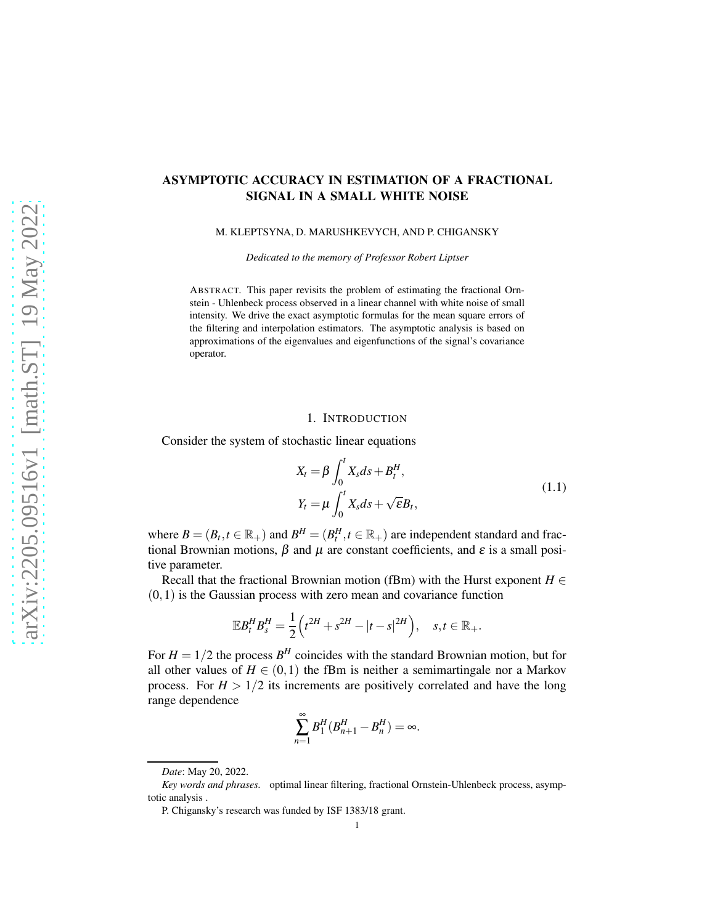# ASYMPTOTIC ACCURACY IN ESTIMATION OF A FRACTIONAL SIGNAL IN A SMALL WHITE NOISE

M. KLEPTSYNA, D. MARUSHKEVYCH, AND P. CHIGANSKY

*Dedicated to the memory of Professor Robert Liptser*

ABSTRACT. This paper revisits the problem of estimating the fractional Ornstein - Uhlenbeck process observed in a linear channel with white noise of small intensity. We drive the exact asymptotic formulas for the mean square errors of the filtering and interpolation estimators. The asymptotic analysis is based on approximations of the eigenvalues and eigenfunctions of the signal's covariance operator.

#### 1. INTRODUCTION

Consider the system of stochastic linear equations

<span id="page-0-0"></span>
$$
X_t = \beta \int_0^t X_s ds + B_t^H,
$$
  
\n
$$
Y_t = \mu \int_0^t X_s ds + \sqrt{\epsilon} B_t,
$$
\n(1.1)

where  $B = (B_t, t \in \mathbb{R}_+)$  and  $B^H = (B_t^H, t \in \mathbb{R}_+)$  are independent standard and fractional Brownian motions,  $\beta$  and  $\mu$  are constant coefficients, and  $\varepsilon$  is a small positive parameter.

Recall that the fractional Brownian motion (fBm) with the Hurst exponent  $H \in$  $(0,1)$  is the Gaussian process with zero mean and covariance function

$$
\mathbb{E}B_t^H B_s^H = \frac{1}{2} \Big( t^{2H} + s^{2H} - |t - s|^{2H} \Big), \quad s, t \in \mathbb{R}_+.
$$

For  $H = 1/2$  the process  $B<sup>H</sup>$  coincides with the standard Brownian motion, but for all other values of  $H \in (0,1)$  the fBm is neither a semimartingale nor a Markov process. For  $H > 1/2$  its increments are positively correlated and have the long range dependence

$$
\sum_{n=1}^{\infty} B_1^H (B_{n+1}^H - B_n^H) = \infty.
$$

*Date*: May 20, 2022.

*Key words and phrases.* optimal linear filtering, fractional Ornstein-Uhlenbeck process, asymptotic analysis .

P. Chigansky's research was funded by ISF 1383/18 grant.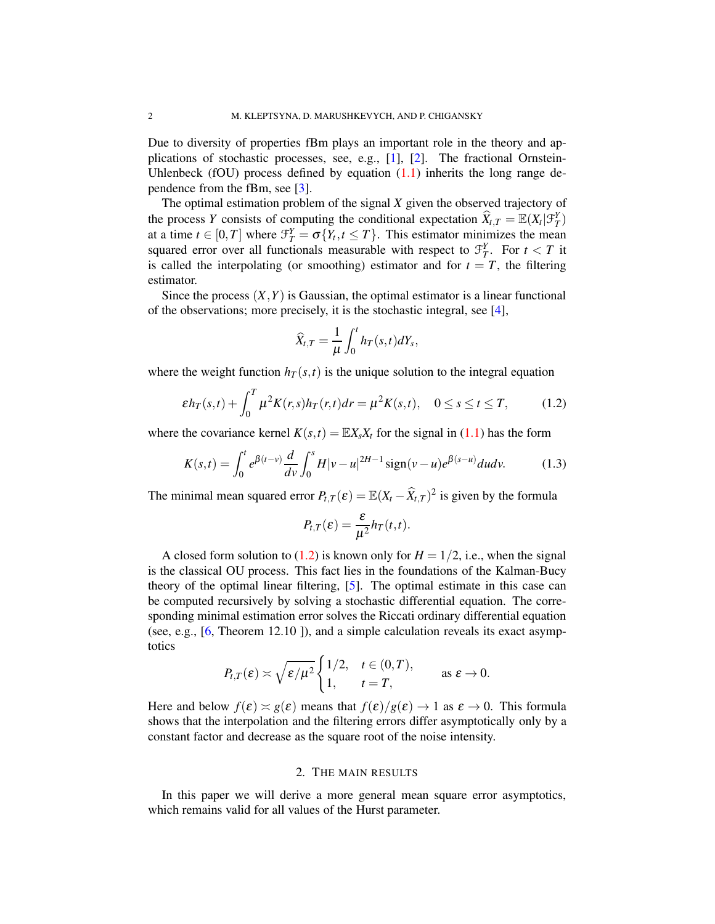Due to diversity of properties fBm plays an important role in the theory and applications of stochastic processes, see, e.g., [\[1\]](#page-18-0), [\[2\]](#page-18-1). The fractional Ornstein-Uhlenbeck (fOU) process defined by equation  $(1.1)$  inherits the long range dependence from the fBm, see [\[3\]](#page-18-2).

The optimal estimation problem of the signal *X* given the observed trajectory of the process *Y* consists of computing the conditional expectation  $\widehat{X}_{t,T} = \mathbb{E}(X_t | \mathcal{F}_T^Y)$ at a time  $t \in [0, T]$  where  $\mathcal{F}_T^Y = \sigma\{Y_t, t \leq T\}$ . This estimator minimizes the mean squared error over all functionals measurable with respect to  $\mathcal{F}_T^Y$ . For  $t < T$  it is called the interpolating (or smoothing) estimator and for  $t = T$ , the filtering estimator.

Since the process  $(X, Y)$  is Gaussian, the optimal estimator is a linear functional of the observations; more precisely, it is the stochastic integral, see [\[4\]](#page-19-0),

$$
\widehat{X}_{t,T} = \frac{1}{\mu} \int_0^t h_T(s,t) dY_s,
$$

where the weight function  $h_T(s,t)$  is the unique solution to the integral equation

<span id="page-1-0"></span>
$$
\varepsilon h_T(s,t) + \int_0^T \mu^2 K(r,s) h_T(r,t) dr = \mu^2 K(s,t), \quad 0 \le s \le t \le T,
$$
 (1.2)

where the covariance kernel  $K(s,t) = \mathbb{E}X_s X_t$  for the signal in [\(1.1\)](#page-0-0) has the form

<span id="page-1-1"></span>
$$
K(s,t) = \int_0^t e^{\beta(t-v)} \frac{d}{dv} \int_0^s H|v-u|^{2H-1} \operatorname{sign}(v-u) e^{\beta(s-u)} du dv. \tag{1.3}
$$

The minimal mean squared error  $P_{t,T}(\varepsilon) = \mathbb{E}(X_t - \widehat{X}_{t,T})^2$  is given by the formula

$$
P_{t,T}(\varepsilon) = \frac{\varepsilon}{\mu^2} h_T(t,t).
$$

A closed form solution to [\(1.2\)](#page-1-0) is known only for  $H = 1/2$ , i.e., when the signal is the classical OU process. This fact lies in the foundations of the Kalman-Bucy theory of the optimal linear filtering, [\[5\]](#page-19-1). The optimal estimate in this case can be computed recursively by solving a stochastic differential equation. The corresponding minimal estimation error solves the Riccati ordinary differential equation (see, e.g., [\[6,](#page-19-2) Theorem 12.10 ]), and a simple calculation reveals its exact asymptotics

$$
P_{t,T}(\varepsilon) \asymp \sqrt{\varepsilon/\mu^2} \begin{cases} 1/2, & t \in (0,T), \\ 1, & t = T, \end{cases}
$$
 as  $\varepsilon \to 0$ .

Here and below  $f(\varepsilon) \approx g(\varepsilon)$  means that  $f(\varepsilon)/g(\varepsilon) \to 1$  as  $\varepsilon \to 0$ . This formula shows that the interpolation and the filtering errors differ asymptotically only by a constant factor and decrease as the square root of the noise intensity.

### 2. THE MAIN RESULTS

In this paper we will derive a more general mean square error asymptotics, which remains valid for all values of the Hurst parameter.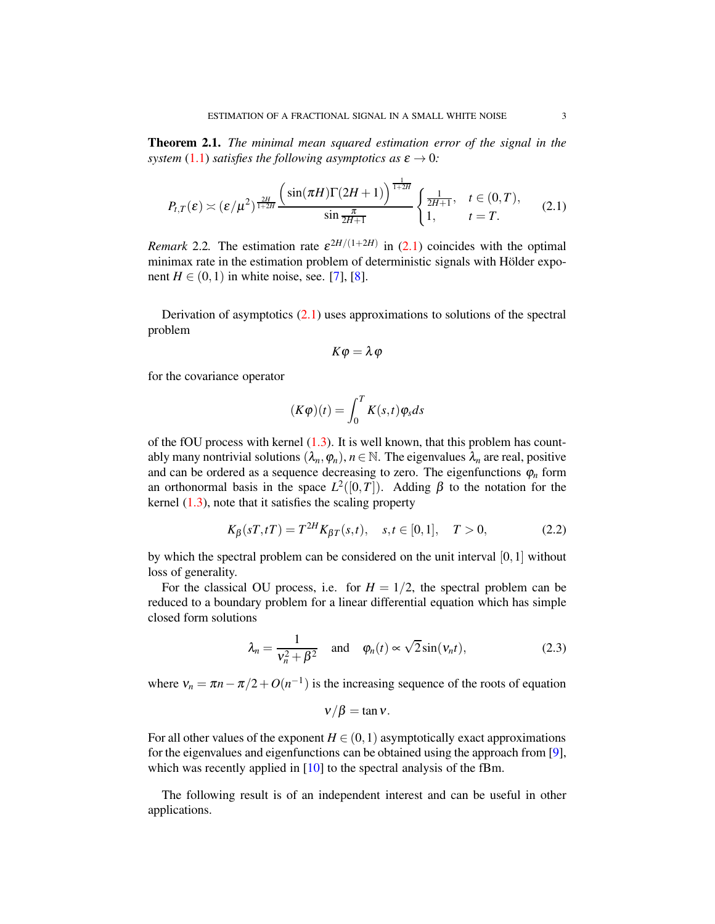<span id="page-2-1"></span>Theorem 2.1. *The minimal mean squared estimation error of the signal in the system* [\(1.1\)](#page-0-0) *satisfies the following asymptotics as*  $\varepsilon \to 0$ *:* 

<span id="page-2-0"></span>
$$
P_{t,T}(\varepsilon) \asymp (\varepsilon/\mu^2)^{\frac{2H}{1+2H}} \frac{\left(\sin(\pi H)\Gamma(2H+1)\right)^{\frac{1}{1+2H}}}{\sin \frac{\pi}{2H+1}} \begin{cases} \frac{1}{2H+1}, & t \in (0,T),\\ 1, & t = T. \end{cases}
$$
(2.1)

*Remark* 2.2. The estimation rate  $\varepsilon^{2H/(1+2H)}$  in [\(2.1\)](#page-2-0) coincides with the optimal minimax rate in the estimation problem of deterministic signals with Hölder exponent  $H \in (0, 1)$  in white noise, see. [\[7\]](#page-19-3), [\[8\]](#page-19-4).

Derivation of asymptotics  $(2.1)$  uses approximations to solutions of the spectral problem

$$
K\varphi=\lambda\varphi
$$

for the covariance operator

$$
(K\varphi)(t) = \int_0^T K(s,t)\varphi_s ds
$$

of the fOU process with kernel  $(1.3)$ . It is well known, that this problem has countably many nontrivial solutions  $(\lambda_n, \varphi_n)$ ,  $n \in \mathbb{N}$ . The eigenvalues  $\lambda_n$  are real, positive and can be ordered as a sequence decreasing to zero. The eigenfunctions  $\varphi_n$  form an orthonormal basis in the space  $L^2([0,T])$ . Adding  $\beta$  to the notation for the kernel  $(1.3)$ , note that it satisfies the scaling property

<span id="page-2-2"></span>
$$
K_{\beta}(sT, tT) = T^{2H} K_{\beta T}(s, t), \quad s, t \in [0, 1], \quad T > 0,
$$
\n(2.2)

by which the spectral problem can be considered on the unit interval [0,1] without loss of generality.

For the classical OU process, i.e. for  $H = 1/2$ , the spectral problem can be reduced to a boundary problem for a linear differential equation which has simple closed form solutions

<span id="page-2-3"></span>
$$
\lambda_n = \frac{1}{v_n^2 + \beta^2} \quad \text{and} \quad \varphi_n(t) \propto \sqrt{2} \sin(v_n t), \tag{2.3}
$$

where  $v_n = \pi n - \pi/2 + O(n^{-1})$  is the increasing sequence of the roots of equation

$$
v/\beta = \tan v.
$$

For all other values of the exponent  $H \in (0,1)$  asymptotically exact approximations for the eigenvalues and eigenfunctions can be obtained using the approach from [\[9\]](#page-19-5), which was recently applied in [\[10\]](#page-19-6) to the spectral analysis of the fBm.

The following result is of an independent interest and can be useful in other applications.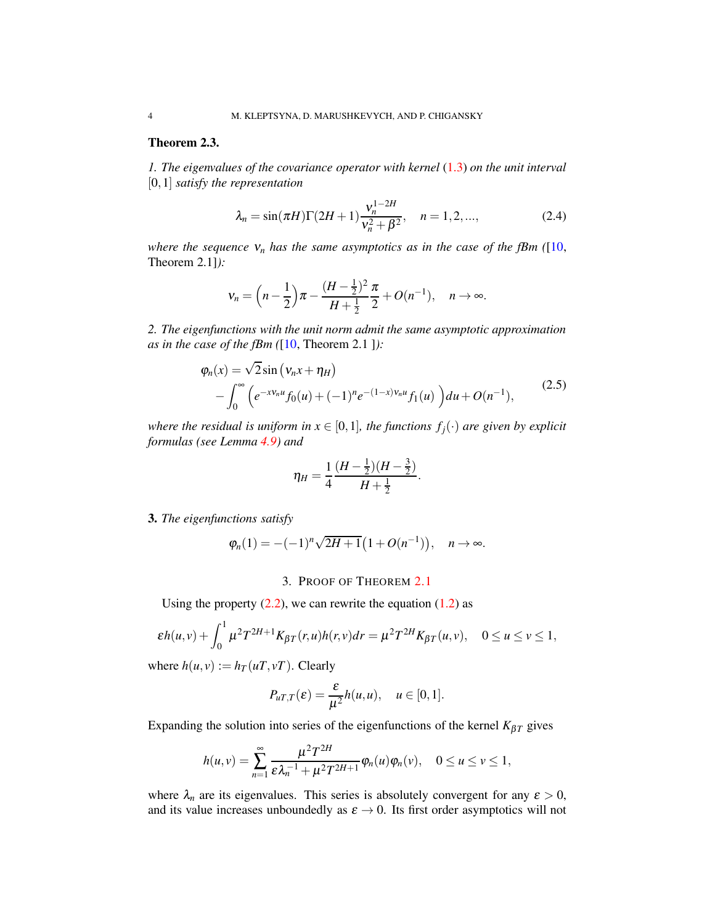# <span id="page-3-0"></span>Theorem 2.3.

*1. The eigenvalues of the covariance operator with kernel* [\(1.3\)](#page-1-1) *on the unit interval* [0,1] *satisfy the representation*

<span id="page-3-2"></span>
$$
\lambda_n = \sin(\pi H)\Gamma(2H+1)\frac{v_n^{1-2H}}{v_n^2 + \beta^2}, \quad n = 1, 2, ..., \tag{2.4}
$$

*where the sequence*  $v_n$  *has the same asymptotics as in the case of the fBm* ([\[10,](#page-19-6) Theorem 2.1]*):*

$$
v_n = \left(n - \frac{1}{2}\right)\pi - \frac{(H - \frac{1}{2})^2}{H + \frac{1}{2}}\frac{\pi}{2} + O(n^{-1}), \quad n \to \infty.
$$

*2. The eigenfunctions with the unit norm admit the same asymptotic approximation as in the case of the fBm (*[\[10,](#page-19-6) Theorem 2.1 ]*):*

<span id="page-3-1"></span>
$$
\varphi_n(x) = \sqrt{2} \sin \left( v_n x + \eta_H \right) \n- \int_0^\infty \left( e^{-x v_n u} f_0(u) + (-1)^n e^{-(1-x) v_n u} f_1(u) \right) du + O(n^{-1}),
$$
\n(2.5)

*where the residual is uniform in*  $x \in [0,1]$ *, the functions*  $f_i(\cdot)$  *are given by explicit formulas (see Lemma [4.9\)](#page-16-0) and*

$$
\eta_H = \frac{1}{4} \frac{(H - \frac{1}{2})(H - \frac{3}{2})}{H + \frac{1}{2}}.
$$

3. *The eigenfunctions satisfy*

$$
\varphi_n(1) = -(-1)^n \sqrt{2H+1} (1 + O(n^{-1})), \quad n \to \infty.
$$

## 3. PROOF OF THEOREM [2.1](#page-2-1)

Using the property  $(2.2)$ , we can rewrite the equation  $(1.2)$  as

$$
\varepsilon h(u,v) + \int_0^1 \mu^2 T^{2H+1} K_{\beta T}(r,u) h(r,v) dr = \mu^2 T^{2H} K_{\beta T}(u,v), \quad 0 \le u \le v \le 1,
$$

where  $h(u, v) := h_T(uT, vT)$ . Clearly

$$
P_{uT,T}(\varepsilon)=\frac{\varepsilon}{\mu^2}h(u,u), \quad u\in[0,1].
$$

Expanding the solution into series of the eigenfunctions of the kernel  $K_{\beta T}$  gives

$$
h(u,v)=\sum_{n=1}^{\infty}\frac{\mu^2T^{2H}}{\varepsilon\lambda_n^{-1}+\mu^2T^{2H+1}}\varphi_n(u)\varphi_n(v),\quad 0\leq u\leq v\leq 1,
$$

where  $\lambda_n$  are its eigenvalues. This series is absolutely convergent for any  $\varepsilon > 0$ , and its value increases unboundedly as  $\varepsilon \to 0$ . Its first order asymptotics will not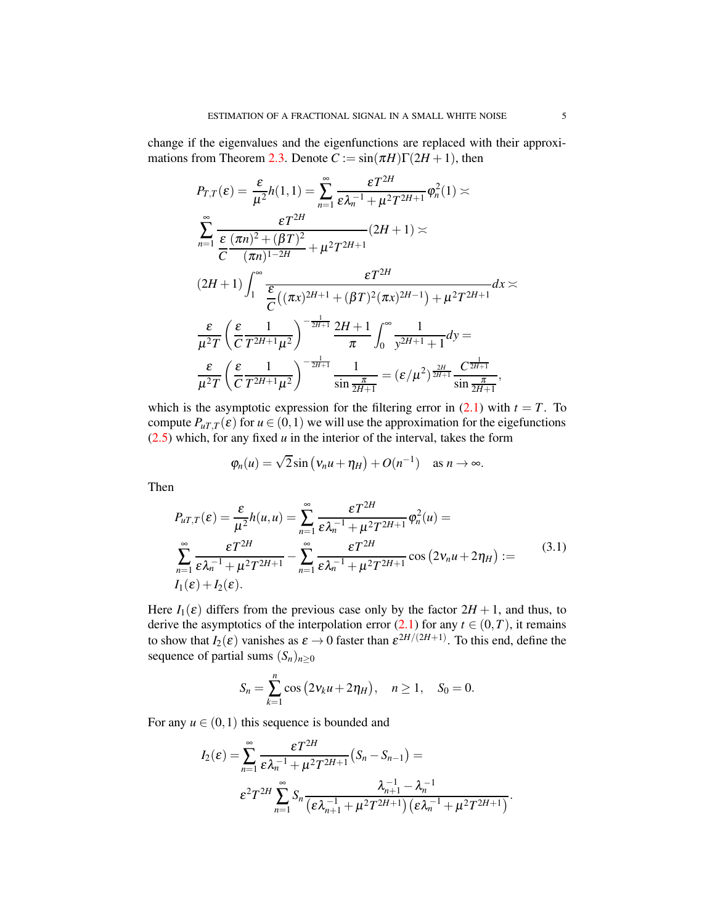change if the eigenvalues and the eigenfunctions are replaced with their approxi-mations from Theorem [2.3.](#page-3-0) Denote  $C := \sin(\pi H)\Gamma(2H + 1)$ , then

$$
P_{T,T}(\varepsilon) = \frac{\varepsilon}{\mu^2} h(1,1) = \sum_{n=1}^{\infty} \frac{\varepsilon T^{2H}}{\varepsilon \lambda_n^{-1} + \mu^2 T^{2H+1}} \varphi_n^2(1) \asymp
$$
  

$$
\sum_{n=1}^{\infty} \frac{\varepsilon T^{2H}}{\frac{\varepsilon}{C} (\pi n)^2 + (\beta T)^2} (2H+1) \asymp
$$
  

$$
(2H+1) \int_1^{\infty} \frac{\varepsilon T^{2H}}{\frac{\varepsilon}{C} ((\pi x)^{2H+1} + (\beta T)^2 (\pi x)^{2H-1}) + \mu^2 T^{2H+1}} dx \asymp
$$
  

$$
\frac{\varepsilon}{\mu^2 T} \left( \frac{\varepsilon}{C} \frac{1}{T^{2H+1} \mu^2} \right)^{-\frac{1}{2H+1}} \frac{2H+1}{\pi} \int_0^{\infty} \frac{1}{y^{2H+1} + 1} dy =
$$
  

$$
\frac{\varepsilon}{\mu^2 T} \left( \frac{\varepsilon}{C} \frac{1}{T^{2H+1} \mu^2} \right)^{-\frac{1}{2H+1}} \frac{1}{\sin \frac{\pi}{2H+1}} = (\varepsilon/\mu^2)^{\frac{2H}{2H+1}} \frac{C^{\frac{1}{2H+1}}}{\sin \frac{\pi}{2H+1}},
$$

which is the asymptotic expression for the filtering error in  $(2.1)$  with  $t = T$ . To compute  $P_{uT,T}(\varepsilon)$  for  $u \in (0,1)$  we will use the approximation for the eigefunctions  $(2.5)$  which, for any fixed  $u$  in the interior of the interval, takes the form

$$
\varphi_n(u) = \sqrt{2}\sin(v_n u + \eta_H) + O(n^{-1})
$$
 as  $n \to \infty$ .

Then

<span id="page-4-0"></span>
$$
P_{uT,T}(\varepsilon) = \frac{\varepsilon}{\mu^2} h(u, u) = \sum_{n=1}^{\infty} \frac{\varepsilon T^{2H}}{\varepsilon \lambda_n^{-1} + \mu^2 T^{2H+1}} \varphi_n^2(u) =
$$
  

$$
\sum_{n=1}^{\infty} \frac{\varepsilon T^{2H}}{\varepsilon \lambda_n^{-1} + \mu^2 T^{2H+1}} - \sum_{n=1}^{\infty} \frac{\varepsilon T^{2H}}{\varepsilon \lambda_n^{-1} + \mu^2 T^{2H+1}} \cos(2v_n u + 2\eta_H) :=
$$
(3.1)  
 $I_1(\varepsilon) + I_2(\varepsilon).$ 

Here  $I_1(\varepsilon)$  differs from the previous case only by the factor  $2H + 1$ , and thus, to derive the asymptotics of the interpolation error  $(2.1)$  for any  $t \in (0, T)$ , it remains to show that  $I_2(\varepsilon)$  vanishes as  $\varepsilon \to 0$  faster than  $\varepsilon^{2H/(2H+1)}$ . To this end, define the sequence of partial sums  $(S_n)_{n\geq 0}$ 

$$
S_n = \sum_{k=1}^n \cos(2v_k u + 2\eta_H), \quad n \ge 1, \quad S_0 = 0.
$$

For any  $u \in (0,1)$  this sequence is bounded and

$$
I_2(\varepsilon) = \sum_{n=1}^{\infty} \frac{\varepsilon T^{2H}}{\varepsilon \lambda_n^{-1} + \mu^2 T^{2H+1}} (S_n - S_{n-1}) =
$$
  

$$
\varepsilon^2 T^{2H} \sum_{n=1}^{\infty} S_n \frac{\lambda_{n+1}^{-1} - \lambda_n^{-1}}{(\varepsilon \lambda_{n+1}^{-1} + \mu^2 T^{2H+1})(\varepsilon \lambda_n^{-1} + \mu^2 T^{2H+1})}.
$$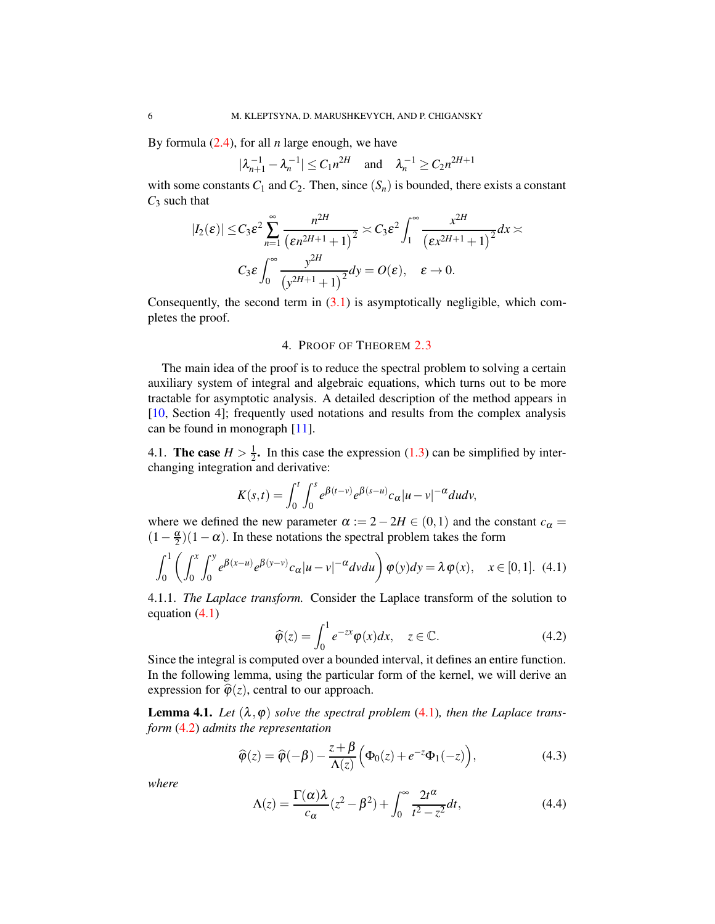By formula [\(2.4\)](#page-3-2), for all *n* large enough, we have

 $|\lambda_{n+1}^{-1} - \lambda_n^{-1}| \le C_1 n^{2H}$  and  $\lambda_n^{-1} \ge C_2 n^{2H+1}$ 

with some constants  $C_1$  and  $C_2$ . Then, since  $(S_n)$  is bounded, there exists a constant *C*<sup>3</sup> such that

$$
|I_2(\varepsilon)| \leq C_3 \varepsilon^2 \sum_{n=1}^{\infty} \frac{n^{2H}}{\left(\varepsilon n^{2H+1} + 1\right)^2} \asymp C_3 \varepsilon^2 \int_1^{\infty} \frac{x^{2H}}{\left(\varepsilon x^{2H+1} + 1\right)^2} dx \asymp
$$
  

$$
C_3 \varepsilon \int_0^{\infty} \frac{y^{2H}}{\left(y^{2H+1} + 1\right)^2} dy = O(\varepsilon), \quad \varepsilon \to 0.
$$

Consequently, the second term in  $(3.1)$  is asymptotically negligible, which completes the proof.

## 4. PROOF OF THEOREM [2.3](#page-3-0)

The main idea of the proof is to reduce the spectral problem to solving a certain auxiliary system of integral and algebraic equations, which turns out to be more tractable for asymptotic analysis. A detailed description of the method appears in [\[10,](#page-19-6) Section 4]; frequently used notations and results from the complex analysis can be found in monograph [\[11\]](#page-19-7).

4.1. **The case**  $H > \frac{1}{2}$  $\frac{1}{2}$ . In this case the expression [\(1.3\)](#page-1-1) can be simplified by interchanging integration and derivative:

$$
K(s,t) = \int_0^t \int_0^s e^{\beta(t-v)} e^{\beta(s-u)} c_\alpha |u-v|^{-\alpha} du dv,
$$

where we defined the new parameter  $\alpha := 2 - 2H \in (0,1)$  and the constant  $c_{\alpha} =$  $(1 - \frac{\alpha}{2})(1 - \alpha)$ . In these notations the spectral problem takes the form

<span id="page-5-0"></span>
$$
\int_0^1 \left( \int_0^x \int_0^y e^{\beta(x-u)} e^{\beta(y-v)} c_\alpha |u-v|^{-\alpha} dv du \right) \varphi(y) dy = \lambda \varphi(x), \quad x \in [0,1]. \tag{4.1}
$$

4.1.1. *The Laplace transform.* Consider the Laplace transform of the solution to equation [\(4.1\)](#page-5-0)

<span id="page-5-1"></span>
$$
\widehat{\varphi}(z) = \int_0^1 e^{-zx} \varphi(x) dx, \quad z \in \mathbb{C}.
$$
 (4.2)

Since the integral is computed over a bounded interval, it defines an entire function. In the following lemma, using the particular form of the kernel, we will derive an expression for  $\hat{\varphi}(z)$ , central to our approach.

**Lemma 4.1.** Let  $(\lambda, \varphi)$  solve the spectral problem  $(4.1)$ , then the Laplace trans*form* [\(4.2\)](#page-5-1) *admits the representation*

<span id="page-5-3"></span>
$$
\widehat{\varphi}(z) = \widehat{\varphi}(-\beta) - \frac{z + \beta}{\Lambda(z)} \Big( \Phi_0(z) + e^{-z} \Phi_1(-z) \Big), \tag{4.3}
$$

*where*

<span id="page-5-2"></span>
$$
\Lambda(z) = \frac{\Gamma(\alpha)\lambda}{c_{\alpha}}(z^2 - \beta^2) + \int_0^{\infty} \frac{2t^{\alpha}}{t^2 - z^2} dt,
$$
\n(4.4)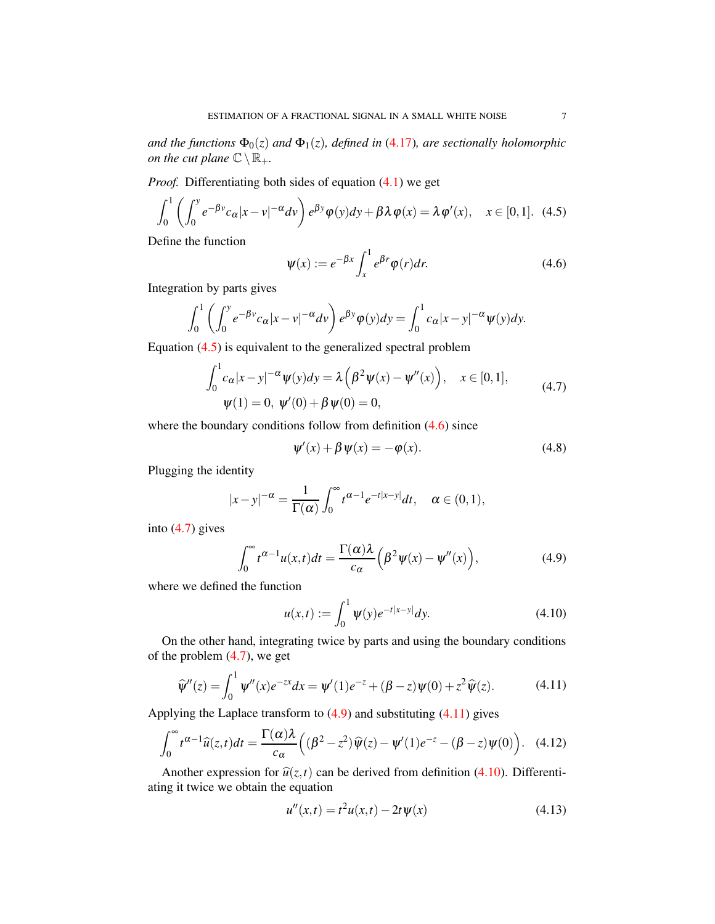*and the functions*  $\Phi_0(z)$  *and*  $\Phi_1(z)$ *, defined in* [\(4.17\)](#page-7-0)*, are sectionally holomorphic on the cut plane*  $\mathbb{C}\setminus\mathbb{R}_+$ *.* 

*Proof.* Differentiating both sides of equation [\(4.1\)](#page-5-0) we get

<span id="page-6-0"></span>
$$
\int_0^1 \left( \int_0^y e^{-\beta v} c_\alpha |x - v|^{-\alpha} dv \right) e^{\beta y} \varphi(y) dy + \beta \lambda \varphi(x) = \lambda \varphi'(x), \quad x \in [0, 1]. \tag{4.5}
$$

Define the function

<span id="page-6-1"></span>
$$
\psi(x) := e^{-\beta x} \int_{x}^{1} e^{\beta r} \varphi(r) dr.
$$
\n(4.6)

Integration by parts gives

$$
\int_0^1 \left( \int_0^y e^{-\beta v} c_\alpha |x - v|^{-\alpha} dv \right) e^{\beta y} \varphi(y) dy = \int_0^1 c_\alpha |x - y|^{-\alpha} \psi(y) dy.
$$

Equation [\(4.5\)](#page-6-0) is equivalent to the generalized spectral problem

<span id="page-6-2"></span>
$$
\int_0^1 c_\alpha |x - y|^{-\alpha} \psi(y) dy = \lambda \left( \beta^2 \psi(x) - \psi''(x) \right), \quad x \in [0, 1],
$$
  
 
$$
\psi(1) = 0, \ \psi'(0) + \beta \psi(0) = 0,
$$
 (4.7)

where the boundary conditions follow from definition  $(4.6)$  since

<span id="page-6-8"></span>
$$
\psi'(x) + \beta \psi(x) = -\varphi(x). \tag{4.8}
$$

Plugging the identity

$$
|x-y|^{-\alpha} = \frac{1}{\Gamma(\alpha)} \int_0^\infty t^{\alpha-1} e^{-t|x-y|} dt, \quad \alpha \in (0,1),
$$

into [\(4.7\)](#page-6-2) gives

<span id="page-6-3"></span>
$$
\int_0^\infty t^{\alpha-1} u(x,t) dt = \frac{\Gamma(\alpha)\lambda}{c_\alpha} \Big( \beta^2 \psi(x) - \psi''(x) \Big), \tag{4.9}
$$

where we defined the function

<span id="page-6-5"></span>
$$
u(x,t) := \int_0^1 \psi(y) e^{-t|x-y|} dy.
$$
 (4.10)

On the other hand, integrating twice by parts and using the boundary conditions of the problem [\(4.7\)](#page-6-2), we get

<span id="page-6-4"></span>
$$
\widehat{\psi}''(z) = \int_0^1 \psi''(x)e^{-zx}dx = \psi'(1)e^{-z} + (\beta - z)\psi(0) + z^2\widehat{\psi}(z).
$$
 (4.11)

Applying the Laplace transform to  $(4.9)$  and substituting  $(4.11)$  gives

<span id="page-6-7"></span>
$$
\int_0^\infty t^{\alpha-1} \widehat{u}(z,t) dt = \frac{\Gamma(\alpha)\lambda}{c_\alpha} \Big( (\beta^2 - z^2) \widehat{\psi}(z) - \psi'(1)e^{-z} - (\beta - z)\psi(0) \Big). \tag{4.12}
$$

Another expression for  $\hat{u}(z,t)$  can be derived from definition [\(4.10\)](#page-6-5). Differentiating it twice we obtain the equation

<span id="page-6-6"></span>
$$
u''(x,t) = t^2 u(x,t) - 2t \Psi(x)
$$
\n(4.13)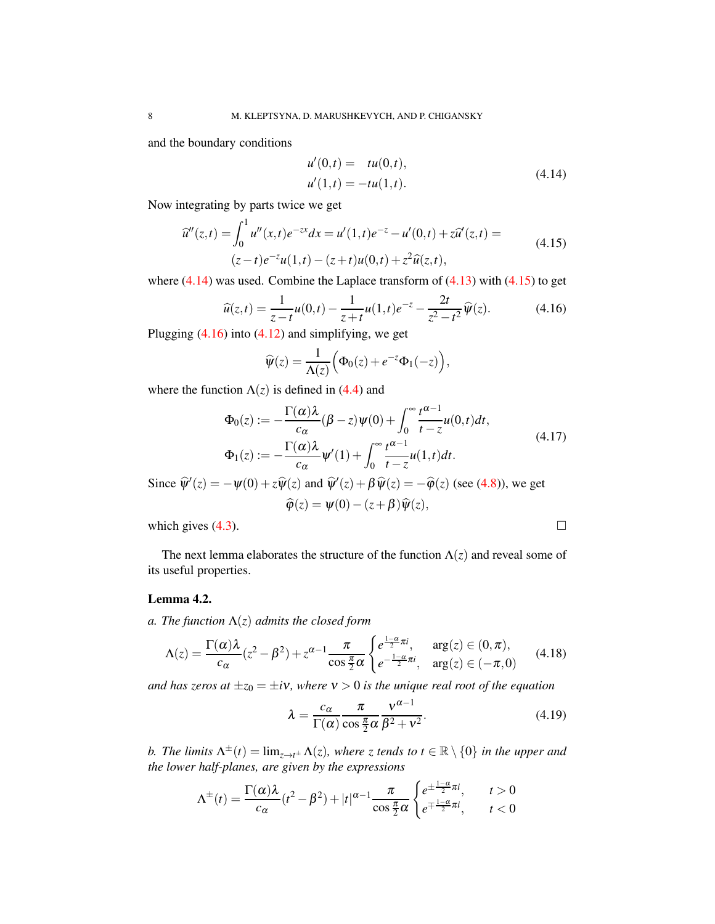and the boundary conditions

<span id="page-7-1"></span>
$$
u'(0,t) = tu(0,t),
$$
  
\n
$$
u'(1,t) = -tu(1,t).
$$
\n(4.14)

Now integrating by parts twice we get

<span id="page-7-2"></span>
$$
\hat{u}''(z,t) = \int_0^1 u''(x,t)e^{-zx}dx = u'(1,t)e^{-z} - u'(0,t) + z\hat{u}'(z,t) =
$$
\n
$$
(z-t)e^{-z}u(1,t) - (z+t)u(0,t) + z^2\hat{u}(z,t),
$$
\n(4.15)

where  $(4.14)$  was used. Combine the Laplace transform of  $(4.13)$  with  $(4.15)$  to get

<span id="page-7-3"></span>
$$
\widehat{u}(z,t) = \frac{1}{z-t}u(0,t) - \frac{1}{z+t}u(1,t)e^{-z} - \frac{2t}{z^2-t^2}\widehat{\psi}(z).
$$
 (4.16)

Plugging  $(4.16)$  into  $(4.12)$  and simplifying, we get

$$
\widehat{\psi}(z) = \frac{1}{\Lambda(z)} \Big( \Phi_0(z) + e^{-z} \Phi_1(-z) \Big),
$$

where the function  $\Lambda(z)$  is defined in [\(4.4\)](#page-5-2) and

<span id="page-7-0"></span>
$$
\Phi_0(z) := -\frac{\Gamma(\alpha)\lambda}{c_\alpha}(\beta - z)\psi(0) + \int_0^\infty \frac{t^{\alpha - 1}}{t - z}u(0, t)dt,
$$
\n
$$
\Phi_1(z) := -\frac{\Gamma(\alpha)\lambda}{c_\alpha}\psi'(1) + \int_0^\infty \frac{t^{\alpha - 1}}{t - z}u(1, t)dt.
$$
\n(4.17)

Since  $\hat{\psi}'(z) = -\psi(0) + z\hat{\psi}(z)$  and  $\hat{\psi}'(z) + \beta\hat{\psi}(z) = -\hat{\phi}(z)$  (see [\(4.8\)](#page-6-8)), we get  $\widehat{\varphi}(z) = \psi(0) - (z+\beta)\widehat{\psi}(z),$ 

which gives  $(4.3)$ .

The next lemma elaborates the structure of the function  $\Lambda(z)$  and reveal some of its useful properties.

# <span id="page-7-6"></span>Lemma 4.2.

*a. The function* Λ(*z*) *admits the closed form*

<span id="page-7-4"></span>
$$
\Lambda(z) = \frac{\Gamma(\alpha)\lambda}{c_{\alpha}}(z^2 - \beta^2) + z^{\alpha - 1}\frac{\pi}{\cos\frac{\pi}{2}\alpha} \begin{cases} e^{\frac{1 - \alpha}{2}\pi i}, & \arg(z) \in (0, \pi), \\ e^{-\frac{1 - \alpha}{2}\pi i}, & \arg(z) \in (-\pi, 0) \end{cases}
$$
(4.18)

*and has zeros at*  $\pm z_0 = \pm i v$ *, where*  $v > 0$  *is the unique real root of the equation* 

<span id="page-7-5"></span>
$$
\lambda = \frac{c_{\alpha}}{\Gamma(\alpha)} \frac{\pi}{\cos \frac{\pi}{2} \alpha} \frac{v^{\alpha - 1}}{\beta^2 + v^2}.
$$
\n(4.19)

*b.* The limits  $\Lambda^{\pm}(t) = \lim_{z \to t^{\pm}} \Lambda(z)$ , where z tends to  $t \in \mathbb{R} \setminus \{0\}$  in the upper and *the lower half-planes, are given by the expressions*

$$
\Lambda^{\pm}(t) = \frac{\Gamma(\alpha)\lambda}{c_{\alpha}}(t^2 - \beta^2) + |t|^{\alpha - 1} \frac{\pi}{\cos \frac{\pi}{2} \alpha} \begin{cases} e^{\pm \frac{1 - \alpha}{2} \pi i}, & t > 0 \\ e^{\mp \frac{1 - \alpha}{2} \pi i}, & t < 0 \end{cases}
$$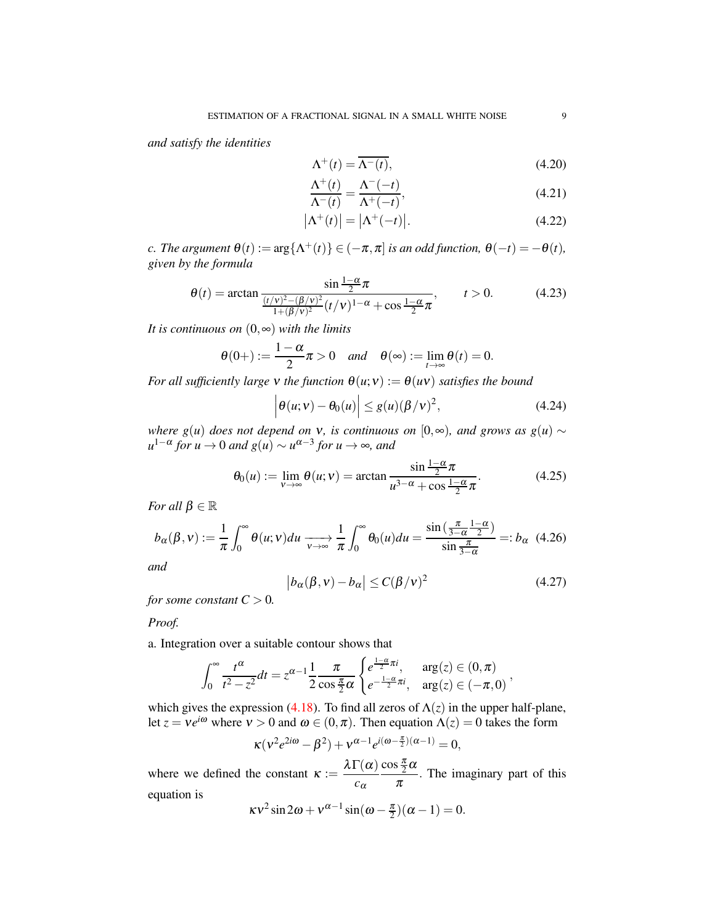*and satisfy the identities*

<span id="page-8-5"></span>
$$
\Lambda^+(t) = \overline{\Lambda^-(t)},\tag{4.20}
$$

<span id="page-8-6"></span><span id="page-8-1"></span>
$$
\frac{\Lambda^+(t)}{\Lambda^-(t)} = \frac{\Lambda^-(-t)}{\Lambda^+(-t)},\tag{4.21}
$$

$$
\left|\Lambda^+(t)\right| = \left|\Lambda^+(-t)\right|.\tag{4.22}
$$

*c. The argument*  $\theta(t) := \arg\{\Lambda^+(t)\}\in (-\pi,\pi]$  *is an odd function,*  $\theta(-t) = -\theta(t)$ *, given by the formula*

<span id="page-8-0"></span>
$$
\theta(t) = \arctan \frac{\sin \frac{1-\alpha}{2}\pi}{\frac{(t/\nu)^2 - (\beta/\nu)^2}{1 + (\beta/\nu)^2} (t/\nu)^{1-\alpha} + \cos \frac{1-\alpha}{2}\pi}, \qquad t > 0.
$$
 (4.23)

*It is continuous on* (0,∞) *with the limits*

$$
\theta(0+) := \frac{1-\alpha}{2}\pi > 0 \quad and \quad \theta(\infty) := \lim_{t \to \infty} \theta(t) = 0.
$$

*For all sufficiently large* v *the function*  $\theta(u;v) := \theta(uv)$  *satisfies the bound* 

<span id="page-8-4"></span>
$$
\left|\theta(u;v) - \theta_0(u)\right| \le g(u)(\beta/v)^2,
$$
\n(4.24)

*where g*(*u*) *does not depend on*  $V$ *, is continuous on* [0,∞)*, and grows as g*(*u*) ∼  $u^{1-\alpha}$  *for*  $u \to 0$  *and*  $g(u) \sim u^{\alpha-3}$  *for*  $u \to \infty$ *, and* 

<span id="page-8-3"></span>
$$
\theta_0(u) := \lim_{\nu \to \infty} \theta(u; \nu) = \arctan \frac{\sin \frac{1-\alpha}{2}\pi}{u^{3-\alpha} + \cos \frac{1-\alpha}{2}\pi}.
$$
 (4.25)

*For all*  $\beta \in \mathbb{R}$ 

<span id="page-8-2"></span>
$$
b_{\alpha}(\beta, v) := \frac{1}{\pi} \int_0^{\infty} \theta(u; v) du \xrightarrow[v \to \infty]{} \frac{1}{\pi} \int_0^{\infty} \theta_0(u) du = \frac{\sin\left(\frac{\pi}{3 - \alpha}\right) \frac{1 - \alpha}{2}}{\sin\frac{\pi}{3 - \alpha}} =: b_{\alpha} \tag{4.26}
$$

*and*

<span id="page-8-7"></span>
$$
|b_{\alpha}(\beta, v) - b_{\alpha}| \le C(\beta/v)^2
$$
 (4.27)

*for some constant*  $C > 0$ *.* 

## *Proof.*

a. Integration over a suitable contour shows that

$$
\int_0^\infty \frac{t^\alpha}{t^2 - z^2} dt = z^{\alpha - 1} \frac{1}{2} \frac{\pi}{\cos \frac{\pi}{2} \alpha} \begin{cases} e^{\frac{1 - \alpha}{2} \pi i}, & \arg(z) \in (0, \pi) \\ e^{-\frac{1 - \alpha}{2} \pi i}, & \arg(z) \in (-\pi, 0) \end{cases}
$$

which gives the expression [\(4.18\)](#page-7-4). To find all zeros of  $\Lambda(z)$  in the upper half-plane, let  $z = v e^{i\omega}$  where  $v > 0$  and  $\omega \in (0, \pi)$ . Then equation  $\Lambda(z) = 0$  takes the form

$$
\kappa(v^2e^{2i\omega}-\beta^2)+v^{\alpha-1}e^{i(\omega-\frac{\pi}{2})(\alpha-1)}=0,
$$

where we defined the constant  $\kappa := \frac{\lambda \Gamma(\alpha)}{\lambda}$ *c*α  $\cos\frac{\pi}{2}\alpha$  $\frac{m}{\pi}$ . The imaginary part of this equation is

$$
\kappa v^2 \sin 2\omega + v^{\alpha - 1} \sin (\omega - \frac{\pi}{2})(\alpha - 1) = 0.
$$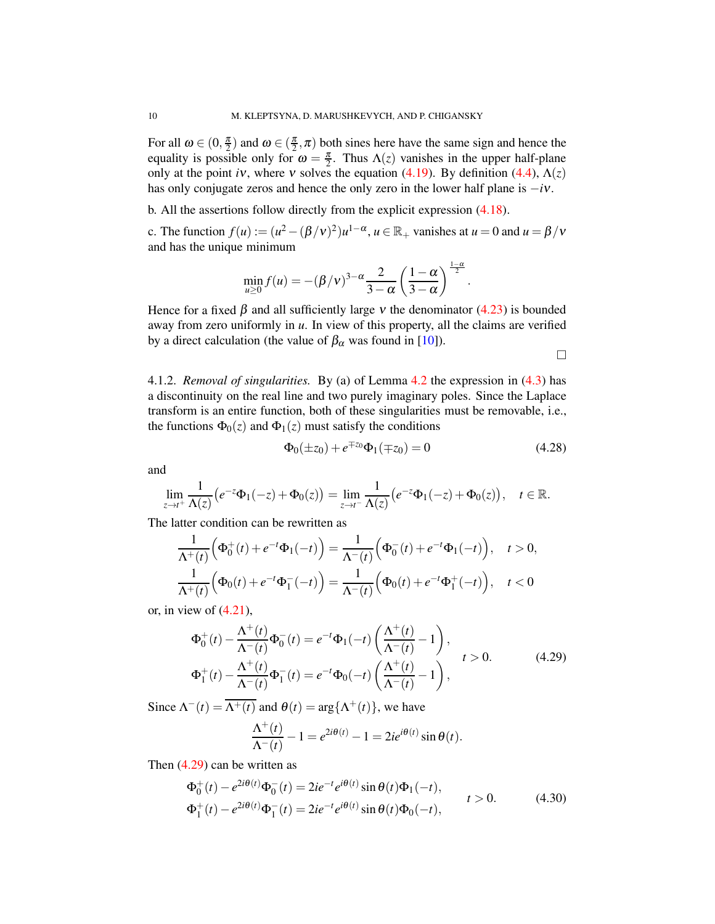For all  $\omega \in (0, \frac{\pi}{2})$  and  $\omega \in (\frac{\pi}{2}, \pi)$  both sines here have the same sign and hence the equality is possible only for  $\omega = \frac{\pi}{2}$ . Thus  $\Lambda(z)$  vanishes in the upper half-plane only at the point *i*ν, where *v* solves the equation [\(4.19\)](#page-7-5). By definition [\(4.4\)](#page-5-2),  $\Lambda(z)$ has only conjugate zeros and hence the only zero in the lower half plane is −*i*ν.

b. All the assertions follow directly from the explicit expression [\(4.18\)](#page-7-4).

c. The function  $f(u) := (u^2 - (\beta/\nu)^2)u^{1-\alpha}, u \in \mathbb{R}_+$  vanishes at  $u = 0$  and  $u = \beta/\nu$ and has the unique minimum

$$
\min_{u\geq 0} f(u) = -(\beta/\nu)^{3-\alpha} \frac{2}{3-\alpha} \left(\frac{1-\alpha}{3-\alpha}\right)^{\frac{1-\alpha}{2}}.
$$

Hence for a fixed  $\beta$  and all sufficiently large v the denominator [\(4.23\)](#page-8-0) is bounded away from zero uniformly in *u*. In view of this property, all the claims are verified by a direct calculation (the value of  $\beta_{\alpha}$  was found in [\[10\]](#page-19-6)).

 $\Box$ 

4.1.2. *Removal of singularities.* By (a) of Lemma [4.2](#page-7-6) the expression in [\(4.3\)](#page-5-3) has a discontinuity on the real line and two purely imaginary poles. Since the Laplace transform is an entire function, both of these singularities must be removable, i.e., the functions  $\Phi_0(z)$  and  $\Phi_1(z)$  must satisfy the conditions

<span id="page-9-2"></span>
$$
\Phi_0(\pm z_0) + e^{\mp z_0} \Phi_1(\mp z_0) = 0 \tag{4.28}
$$

and

$$
\lim_{z \to t^+} \frac{1}{\Lambda(z)} \big( e^{-z} \Phi_1(-z) + \Phi_0(z) \big) = \lim_{z \to t^-} \frac{1}{\Lambda(z)} \big( e^{-z} \Phi_1(-z) + \Phi_0(z) \big), \quad t \in \mathbb{R}.
$$

The latter condition can be rewritten as

$$
\frac{1}{\Lambda^+(t)} \Big( \Phi_0^+(t) + e^{-t} \Phi_1(-t) \Big) = \frac{1}{\Lambda^-(t)} \Big( \Phi_0^-(t) + e^{-t} \Phi_1(-t) \Big), \quad t > 0,
$$
  

$$
\frac{1}{\Lambda^+(t)} \Big( \Phi_0(t) + e^{-t} \Phi_1^-(-t) \Big) = \frac{1}{\Lambda^-(t)} \Big( \Phi_0(t) + e^{-t} \Phi_1^+(-t) \Big), \quad t < 0
$$

or, in view of  $(4.21)$ ,

<span id="page-9-0"></span>
$$
\Phi_0^+(t) - \frac{\Lambda^+(t)}{\Lambda^-(t)} \Phi_0^-(t) = e^{-t} \Phi_1(-t) \left( \frac{\Lambda^+(t)}{\Lambda^-(t)} - 1 \right), \n\Phi_1^+(t) - \frac{\Lambda^+(t)}{\Lambda^-(t)} \Phi_1^-(t) = e^{-t} \Phi_0(-t) \left( \frac{\Lambda^+(t)}{\Lambda^-(t)} - 1 \right),
$$
\n(4.29)

Since  $\Lambda^{-}(t) = \overline{\Lambda^{+}(t)}$  and  $\theta(t) = \arg{\Lambda^{+}(t)}$ , we have

$$
\frac{\Lambda^+(t)}{\Lambda^-(t)} - 1 = e^{2i\theta(t)} - 1 = 2ie^{i\theta(t)}\sin\theta(t).
$$

Then [\(4.29\)](#page-9-0) can be written as

<span id="page-9-1"></span>
$$
\Phi_0^+(t) - e^{2i\theta(t)}\Phi_0^-(t) = 2ie^{-t}e^{i\theta(t)}\sin\theta(t)\Phi_1(-t),
$$
  
\n
$$
\Phi_1^+(t) - e^{2i\theta(t)}\Phi_1^-(t) = 2ie^{-t}e^{i\theta(t)}\sin\theta(t)\Phi_0(-t),
$$
  
\n
$$
t > 0.
$$
\n(4.30)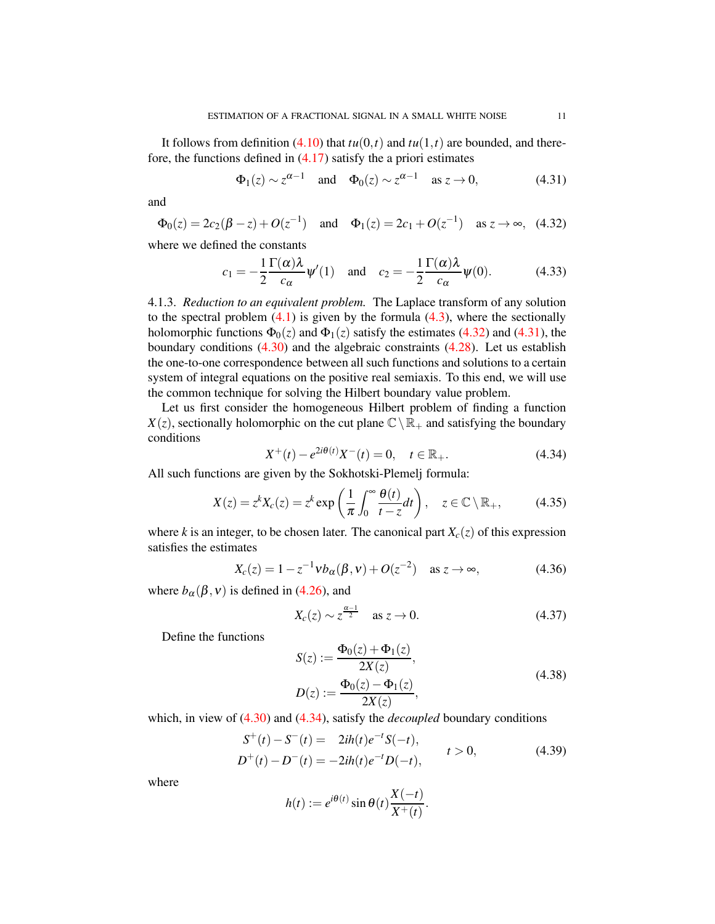It follows from definition [\(4.10\)](#page-6-5) that  $tu(0,t)$  and  $tu(1,t)$  are bounded, and therefore, the functions defined in  $(4.17)$  satisfy the a priori estimates

<span id="page-10-1"></span>
$$
\Phi_1(z) \sim z^{\alpha - 1}
$$
 and  $\Phi_0(z) \sim z^{\alpha - 1}$  as  $z \to 0$ , (4.31)

and

<span id="page-10-0"></span>
$$
\Phi_0(z) = 2c_2(\beta - z) + O(z^{-1})
$$
 and  $\Phi_1(z) = 2c_1 + O(z^{-1})$  as  $z \to \infty$ , (4.32)

where we defined the constants

<span id="page-10-8"></span>
$$
c_1 = -\frac{1}{2} \frac{\Gamma(\alpha)\lambda}{c_\alpha} \psi'(1) \quad \text{and} \quad c_2 = -\frac{1}{2} \frac{\Gamma(\alpha)\lambda}{c_\alpha} \psi(0). \tag{4.33}
$$

4.1.3. *Reduction to an equivalent problem.* The Laplace transform of any solution to the spectral problem  $(4.1)$  is given by the formula  $(4.3)$ , where the sectionally holomorphic functions  $\Phi_0(z)$  and  $\Phi_1(z)$  satisfy the estimates [\(4.32\)](#page-10-0) and [\(4.31\)](#page-10-1), the boundary conditions [\(4.30\)](#page-9-1) and the algebraic constraints [\(4.28\)](#page-9-2). Let us establish the one-to-one correspondence between all such functions and solutions to a certain system of integral equations on the positive real semiaxis. To this end, we will use the common technique for solving the Hilbert boundary value problem.

Let us first consider the homogeneous Hilbert problem of finding a function  $X(z)$ , sectionally holomorphic on the cut plane  $\mathbb{C}\setminus\mathbb{R}_+$  and satisfying the boundary conditions

<span id="page-10-2"></span>
$$
X^{+}(t) - e^{2i\theta(t)}X^{-}(t) = 0, \quad t \in \mathbb{R}_{+}.
$$
 (4.34)

All such functions are given by the Sokhotski-Plemelj formula:

<span id="page-10-6"></span>
$$
X(z) = z^{k} X_c(z) = z^{k} \exp\left(\frac{1}{\pi} \int_0^{\infty} \frac{\theta(t)}{t - z} dt\right), \quad z \in \mathbb{C} \setminus \mathbb{R}_+, \tag{4.35}
$$

where *k* is an integer, to be chosen later. The canonical part  $X_c(z)$  of this expression satisfies the estimates

<span id="page-10-7"></span>
$$
X_c(z) = 1 - z^{-1} v b_{\alpha}(\beta, v) + O(z^{-2}) \quad \text{as } z \to \infty,
$$
 (4.36)

where  $b_{\alpha}(\beta, v)$  is defined in [\(4.26\)](#page-8-2), and

<span id="page-10-5"></span>
$$
X_c(z) \sim z^{\frac{\alpha - 1}{2}} \quad \text{as } z \to 0. \tag{4.37}
$$

Define the functions

<span id="page-10-4"></span>
$$
S(z) := \frac{\Phi_0(z) + \Phi_1(z)}{2X(z)},
$$
  
\n
$$
D(z) := \frac{\Phi_0(z) - \Phi_1(z)}{2X(z)},
$$
\n(4.38)

which, in view of  $(4.30)$  and  $(4.34)$ , satisfy the *decoupled* boundary conditions

<span id="page-10-3"></span>
$$
S^{+}(t) - S^{-}(t) = 2ih(t)e^{-t}S(-t),
$$
  
\n
$$
D^{+}(t) - D^{-}(t) = -2ih(t)e^{-t}D(-t),
$$
  
\n
$$
t > 0,
$$
\n(4.39)

where

$$
h(t) := e^{i\theta(t)} \sin \theta(t) \frac{X(-t)}{X^+(t)}.
$$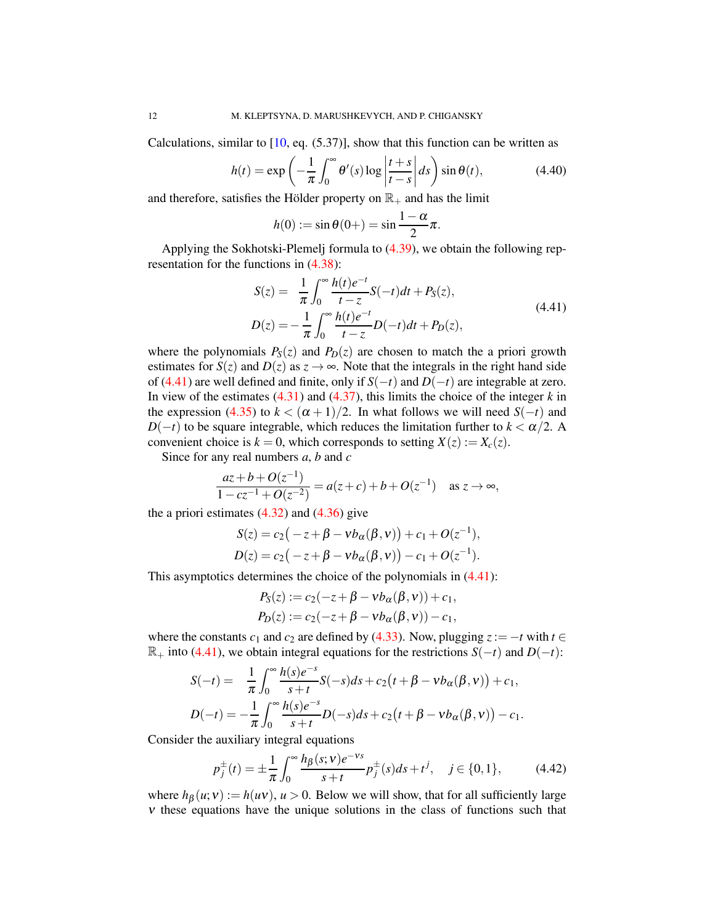Calculations, similar to  $[10, \text{eq. } (5.37)]$ , show that this function can be written as

<span id="page-11-2"></span>
$$
h(t) = \exp\left(-\frac{1}{\pi} \int_0^\infty \theta'(s) \log \left|\frac{t+s}{t-s}\right| ds\right) \sin \theta(t),\tag{4.40}
$$

and therefore, satisfies the Hölder property on  $\mathbb{R}_+$  and has the limit

$$
h(0) := \sin \theta(0+) = \sin \frac{1-\alpha}{2}\pi.
$$

Applying the Sokhotski-Plemelj formula to [\(4.39\)](#page-10-3), we obtain the following representation for the functions in [\(4.38\)](#page-10-4):

<span id="page-11-0"></span>
$$
S(z) = \frac{1}{\pi} \int_0^\infty \frac{h(t)e^{-t}}{t-z} S(-t)dt + P_S(z),
$$
  
\n
$$
D(z) = -\frac{1}{\pi} \int_0^\infty \frac{h(t)e^{-t}}{t-z} D(-t)dt + P_D(z),
$$
\n(4.41)

where the polynomials  $P_S(z)$  and  $P_D(z)$  are chosen to match the a priori growth estimates for *S*(*z*) and *D*(*z*) as  $z \rightarrow \infty$ . Note that the integrals in the right hand side of [\(4.41\)](#page-11-0) are well defined and finite, only if *S*(−*t*) and *D*(−*t*) are integrable at zero. In view of the estimates [\(4.31\)](#page-10-1) and [\(4.37\)](#page-10-5), this limits the choice of the integer *k* in the expression [\(4.35\)](#page-10-6) to  $k < (\alpha + 1)/2$ . In what follows we will need  $S(-t)$  and *D*( $-t$ ) to be square integrable, which reduces the limitation further to  $k < \alpha/2$ . A convenient choice is  $k = 0$ , which corresponds to setting  $X(z) := X_c(z)$ .

Since for any real numbers *a*, *b* and *c*

$$
\frac{az+b+O(z^{-1})}{1-cz^{-1}+O(z^{-2})} = a(z+c) + b + O(z^{-1}) \text{ as } z \to \infty,
$$

the a priori estimates  $(4.32)$  and  $(4.36)$  give

$$
S(z) = c_2(-z + \beta - v b_{\alpha}(\beta, v)) + c_1 + O(z^{-1}),
$$
  
\n
$$
D(z) = c_2(-z + \beta - v b_{\alpha}(\beta, v)) - c_1 + O(z^{-1}).
$$

This asymptotics determines the choice of the polynomials in  $(4.41)$ :

$$
P_S(z) := c_2(-z + \beta - \nu b_{\alpha}(\beta, \nu)) + c_1,
$$
  
\n
$$
P_D(z) := c_2(-z + \beta - \nu b_{\alpha}(\beta, \nu)) - c_1,
$$

where the constants  $c_1$  and  $c_2$  are defined by [\(4.33\)](#page-10-8). Now, plugging  $z := -t$  with  $t \in$  $\mathbb{R}_+$  into [\(4.41\)](#page-11-0), we obtain integral equations for the restrictions *S*( $-t$ ) and *D*( $-t$ ):

$$
S(-t) = \frac{1}{\pi} \int_0^{\infty} \frac{h(s)e^{-s}}{s+t} S(-s)ds + c_2(t + \beta - \nu b_{\alpha}(\beta, \nu)) + c_1,
$$
  

$$
D(-t) = -\frac{1}{\pi} \int_0^{\infty} \frac{h(s)e^{-s}}{s+t} D(-s)ds + c_2(t + \beta - \nu b_{\alpha}(\beta, \nu)) - c_1.
$$

Consider the auxiliary integral equations

<span id="page-11-1"></span>
$$
p_j^{\pm}(t) = \pm \frac{1}{\pi} \int_0^{\infty} \frac{h_\beta(s; v) e^{-vs}}{s + t} p_j^{\pm}(s) ds + t^j, \quad j \in \{0, 1\},\tag{4.42}
$$

where  $h_\beta(u;v) := h(uv)$ ,  $u > 0$ . Below we will show, that for all sufficiently large <sup>ν</sup> these equations have the unique solutions in the class of functions such that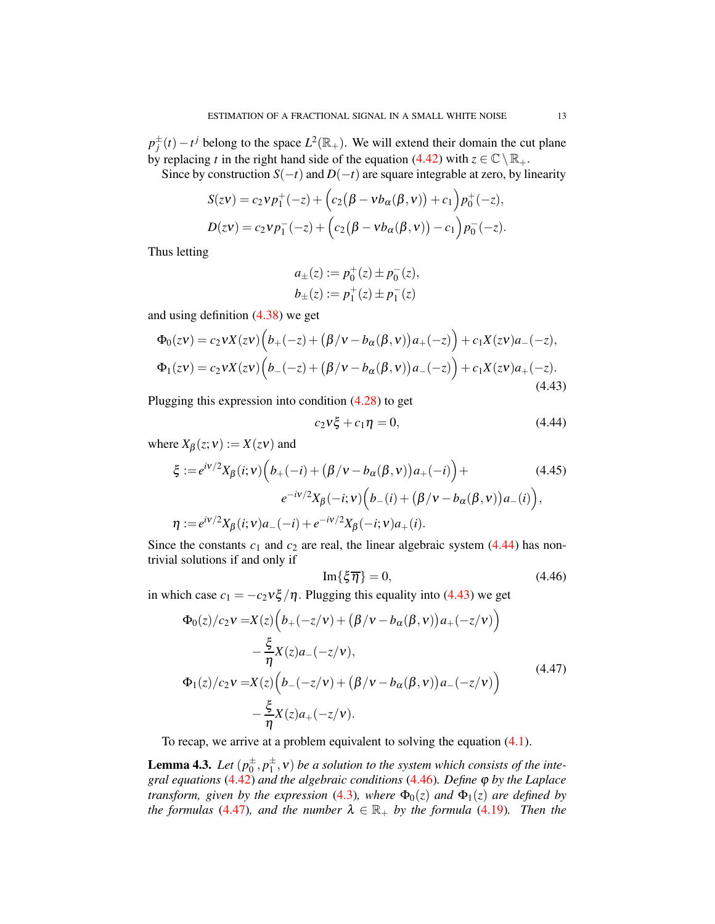$p_j^{\pm}(t) - t^j$  belong to the space  $L^2(\mathbb{R}_+)$ . We will extend their domain the cut plane by replacing *t* in the right hand side of the equation [\(4.42\)](#page-11-1) with  $z \in \mathbb{C} \setminus \mathbb{R}_+$ .

Since by construction  $S(-t)$  and  $D(-t)$  are square integrable at zero, by linearity

$$
S(zv) = c_2vp_1^+(-z) + (c_2(\beta - vb_{\alpha}(\beta, v)) + c_1)p_0^+(-z),
$$
  

$$
D(zv) = c_2vp_1^-(-z) + (c_2(\beta - vb_{\alpha}(\beta, v)) - c_1)p_0^-(-z).
$$

Thus letting

$$
a_{\pm}(z) := p_0^+(z) \pm p_0^-(z),
$$
  

$$
b_{\pm}(z) := p_1^+(z) \pm p_1^-(z)
$$

and using definition [\(4.38\)](#page-10-4) we get

<span id="page-12-1"></span>
$$
\Phi_0(zv) = c_2 v X(zv) \Big( b_+(-z) + (\beta/v - b_\alpha(\beta, v)) a_+(-z) \Big) + c_1 X(zv) a_-(-z),
$$
  
\n
$$
\Phi_1(zv) = c_2 v X(zv) \Big( b_-(-z) + (\beta/v - b_\alpha(\beta, v)) a_-(-z) \Big) + c_1 X(zv) a_+(-z).
$$
\n(4.43)

Plugging this expression into condition [\(4.28\)](#page-9-2) to get

<span id="page-12-5"></span><span id="page-12-0"></span>
$$
c_2 v \xi + c_1 \eta = 0, \tag{4.44}
$$

where  $X_{\beta}(z;v) := X(zv)$  and

$$
\xi := e^{i\nu/2} X_{\beta}(i; v) \Big( b_{+}(-i) + (\beta/\nu - b_{\alpha}(\beta, v)) a_{+}(-i) \Big) +
$$
\n
$$
e^{-i\nu/2} X_{\beta}(-i; v) \Big( b_{-}(i) + (\beta/\nu - b_{\alpha}(\beta, v)) a_{-}(i) \Big),
$$
\n
$$
\eta := e^{i\nu/2} X_{\beta}(i; v) a_{-}(-i) + e^{-i\nu/2} X_{\beta}(-i; v) a_{+}(i).
$$
\n(4.45)

Since the constants  $c_1$  and  $c_2$  are real, the linear algebraic system  $(4.44)$  has nontrivial solutions if and only if

<span id="page-12-2"></span>
$$
\operatorname{Im}\{\xi\overline{\eta}\}=0,\tag{4.46}
$$

in which case  $c_1 = -c_2 v \xi / \eta$ . Plugging this equality into [\(4.43\)](#page-12-1) we get

<span id="page-12-3"></span>
$$
\Phi_0(z)/c_2 \nu = X(z) \Big( b_+(-z/\nu) + (\beta/\nu - b_\alpha(\beta, \nu)) a_+(-z/\nu) \Big) \n- \frac{\xi}{\eta} X(z) a_-(-z/\nu), \n\Phi_1(z)/c_2 \nu = X(z) \Big( b_-(-z/\nu) + (\beta/\nu - b_\alpha(\beta, \nu)) a_-(-z/\nu) \Big) \n- \frac{\xi}{\eta} X(z) a_+(-z/\nu).
$$
\n(4.47)

To recap, we arrive at a problem equivalent to solving the equation [\(4.1\)](#page-5-0).

<span id="page-12-4"></span>**Lemma 4.3.** Let  $(p_0^{\pm}, p_1^{\pm}, v)$  be a solution to the system which consists of the inte*gral equations* [\(4.42\)](#page-11-1) *and the algebraic conditions* [\(4.46\)](#page-12-2)*. Define* ϕ *by the Laplace transform, given by the expression* [\(4.3\)](#page-5-3)*, where*  $\Phi_0(z)$  *and*  $\Phi_1(z)$  *are defined by the formulas* [\(4.47\)](#page-12-3)*, and the number*  $\lambda \in \mathbb{R}_+$  *by the formula* [\(4.19\)](#page-7-5)*. Then the*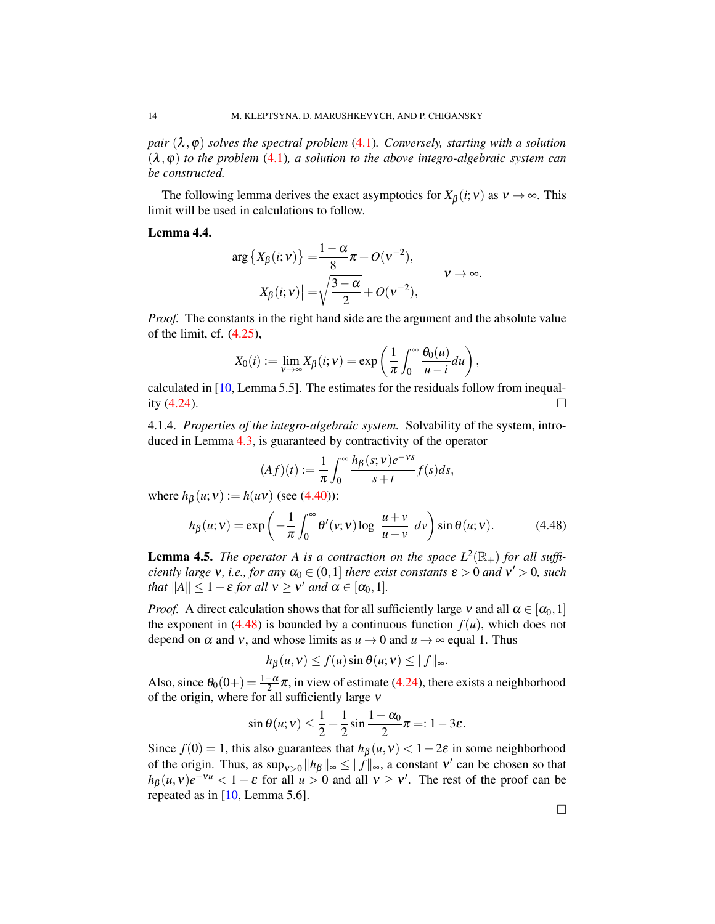*pair*  $(\lambda, \varphi)$  *solves the spectral problem* [\(4.1\)](#page-5-0)*. Conversely, starting with a solution*  $(\lambda, \varphi)$  *to the problem* [\(4.1\)](#page-5-0)*, a solution to the above integro-algebraic system can be constructed.*

The following lemma derives the exact asymptotics for  $X_\beta(i;v)$  as  $v \to \infty$ . This limit will be used in calculations to follow.

<span id="page-13-1"></span>Lemma 4.4.

$$
\arg\left\{X_{\beta}(i;v)\right\} = \frac{1-\alpha}{8}\pi + O(v^{-2}),
$$
  

$$
\left|X_{\beta}(i;v)\right| = \sqrt{\frac{3-\alpha}{2}} + O(v^{-2}),
$$
  $v \to \infty.$ 

*Proof.* The constants in the right hand side are the argument and the absolute value of the limit, cf. [\(4.25\)](#page-8-3),

$$
X_0(i) := \lim_{\mathsf{v}\to\infty} X_\beta(i;\mathsf{v}) = \exp\left(\frac{1}{\pi}\int_0^\infty \frac{\theta_0(u)}{u-i}du\right),\,
$$

calculated in [\[10,](#page-19-6) Lemma 5.5]. The estimates for the residuals follow from inequality  $(4.24)$ .

4.1.4. *Properties of the integro-algebraic system.* Solvability of the system, introduced in Lemma [4.3,](#page-12-4) is guaranteed by contractivity of the operator

$$
(Af)(t) := \frac{1}{\pi} \int_0^\infty \frac{h_\beta(s; \mathbf{v}) e^{-\mathbf{v}s}}{s+t} f(s) ds,
$$

where  $h_B(u; v) := h(uv)$  (see [\(4.40\)](#page-11-2)):

<span id="page-13-0"></span>
$$
h_{\beta}(u;v) = \exp\left(-\frac{1}{\pi} \int_0^{\infty} \theta'(v;v) \log\left|\frac{u+v}{u-v}\right| dv\right) \sin\theta(u;v).
$$
 (4.48)

<span id="page-13-2"></span>**Lemma 4.5.** *The operator A is a contraction on the space*  $L^2(\mathbb{R}_+)$  *for all sufficiently large*  $v$ *, i.e., for any*  $\alpha_0 \in (0,1]$  *there exist constants*  $\varepsilon > 0$  *and*  $v' > 0$ *, such that*  $||A|| \leq 1 - \varepsilon$  *for all*  $v \geq v'$  *and*  $\alpha \in [\alpha_0, 1]$ *.* 

*Proof.* A direct calculation shows that for all sufficiently large  $v$  and all  $\alpha \in [\alpha_0, 1]$ the exponent in  $(4.48)$  is bounded by a continuous function  $f(u)$ , which does not depend on  $\alpha$  and  $\nu$ , and whose limits as  $u \to 0$  and  $u \to \infty$  equal 1. Thus

$$
h_{\beta}(u,v) \le f(u) \sin \theta(u;v) \le ||f||_{\infty}.
$$

Also, since  $\theta_0(0+) = \frac{1-\alpha}{2}\pi$ , in view of estimate [\(4.24\)](#page-8-4), there exists a neighborhood of the origin, where for all sufficiently large <sup>ν</sup>

$$
\sin \theta(u; v) \leq \frac{1}{2} + \frac{1}{2} \sin \frac{1 - \alpha_0}{2} \pi =: 1 - 3\varepsilon.
$$

Since  $f(0) = 1$ , this also guarantees that  $h_\beta(u, v) < 1-2\varepsilon$  in some neighborhood of the origin. Thus, as  $\sup_{v>0} ||h_\beta||_\infty \le ||f||_\infty$ , a constant v' can be chosen so that  $h_{\beta}(u,v)e^{-vu} < 1 - \varepsilon$  for all  $u > 0$  and all  $v \ge v'$ . The rest of the proof can be repeated as in [\[10,](#page-19-6) Lemma 5.6].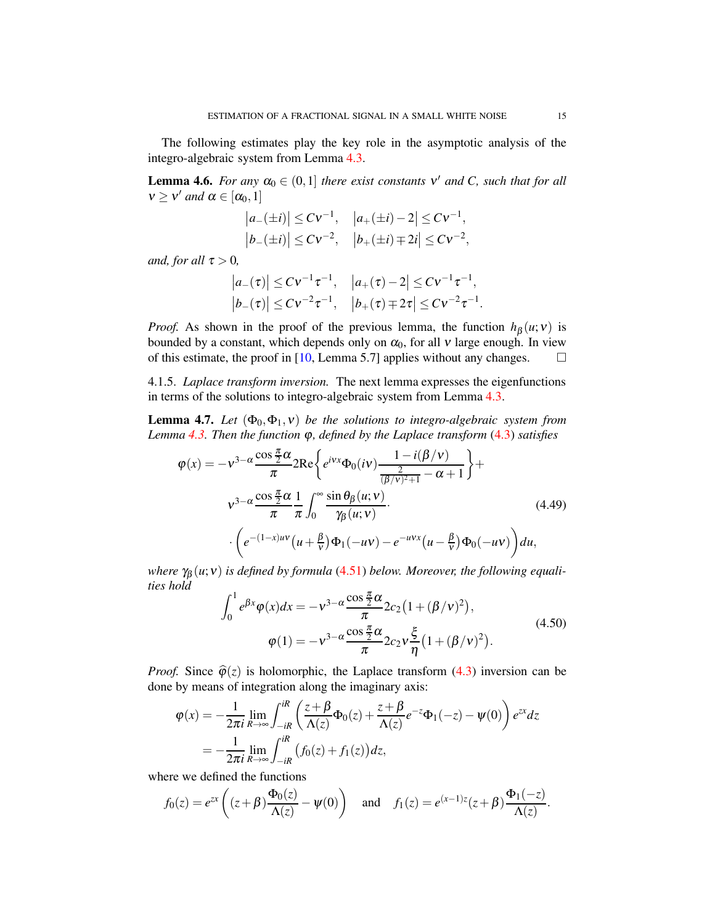The following estimates play the key role in the asymptotic analysis of the integro-algebraic system from Lemma [4.3.](#page-12-4)

<span id="page-14-2"></span>**Lemma 4.6.** *For any*  $\alpha_0 \in (0,1]$  *there exist constants*  $v'$  *and*  $C$ *, such that for all*  $v \ge v'$  and  $\alpha \in [\alpha_0, 1]$ 

$$
|a_{-}(\pm i)| \leq Cv^{-1},
$$
  $|a_{+}(\pm i)-2| \leq Cv^{-1},$   
\n $|b_{-}(\pm i)| \leq Cv^{-2},$   $|b_{+}(\pm i)\mp 2i| \leq Cv^{-2},$ 

*and, for all*  $\tau > 0$ *,* 

$$
|a_{-}(\tau)| \leq C \nu^{-1} \tau^{-1}, \quad |a_{+}(\tau)-2| \leq C \nu^{-1} \tau^{-1},
$$
  
\n
$$
|b_{-}(\tau)| \leq C \nu^{-2} \tau^{-1}, \quad |b_{+}(\tau) \mp 2\tau| \leq C \nu^{-2} \tau^{-1}.
$$

*Proof.* As shown in the proof of the previous lemma, the function  $h_\beta(u;v)$  is bounded by a constant, which depends only on  $\alpha_0$ , for all v large enough. In view of this estimate, the proof in [\[10,](#page-19-6) Lemma 5.7] applies without any changes.  $\square$ 

4.1.5. *Laplace transform inversion.* The next lemma expresses the eigenfunctions in terms of the solutions to integro-algebraic system from Lemma [4.3.](#page-12-4)

**Lemma 4.7.** *Let*  $(\Phi_0, \Phi_1, v)$  *be the solutions to integro-algebraic system from Lemma [4.3.](#page-12-4) Then the function* ϕ*, defined by the Laplace transform* [\(4.3\)](#page-5-3) *satisfies*

$$
\varphi(x) = -v^{3-\alpha} \frac{\cos\frac{\pi}{2}\alpha}{\pi} 2\text{Re}\left\{e^{ivx}\Phi_0(iv) \frac{1-i(\beta/v)}{\frac{2}{(\beta/v)^2+1} - \alpha + 1}\right\} + \nu^{3-\alpha} \frac{\cos\frac{\pi}{2}\alpha}{\pi} \frac{1}{\pi} \int_0^\infty \frac{\sin\theta_\beta(u;v)}{\gamma_\beta(u;v)} \cdot \left(e^{-(1-x)uv}\left(u + \frac{\beta}{v}\right)\Phi_1(-uv) - e^{-uvx}\left(u - \frac{\beta}{v}\right)\Phi_0(-uv)\right) du,
$$
\n(4.49)

*where*  $\gamma_{\beta}(u; v)$  *is defined by formula* [\(4.51\)](#page-15-0) *below. Moreover, the following equalities hold*

<span id="page-14-1"></span><span id="page-14-0"></span>
$$
\int_0^1 e^{\beta x} \varphi(x) dx = -v^{3-\alpha} \frac{\cos \frac{\pi}{2} \alpha}{\pi} 2c_2 \left(1 + (\beta/v)^2\right),
$$
  

$$
\varphi(1) = -v^{3-\alpha} \frac{\cos \frac{\pi}{2} \alpha}{\pi} 2c_2 v \frac{\xi}{\eta} \left(1 + (\beta/v)^2\right).
$$
 (4.50)

*Proof.* Since  $\hat{\varphi}(z)$  is holomorphic, the Laplace transform [\(4.3\)](#page-5-3) inversion can be done by means of integration along the imaginary axis:

$$
\varphi(x) = -\frac{1}{2\pi i} \lim_{R \to \infty} \int_{-iR}^{iR} \left( \frac{z + \beta}{\Lambda(z)} \Phi_0(z) + \frac{z + \beta}{\Lambda(z)} e^{-z} \Phi_1(-z) - \psi(0) \right) e^{zx} dz
$$
  
= 
$$
-\frac{1}{2\pi i} \lim_{R \to \infty} \int_{-iR}^{iR} \left( f_0(z) + f_1(z) \right) dz,
$$

where we defined the functions

$$
f_0(z) = e^{zx} \left( (z+\beta) \frac{\Phi_0(z)}{\Lambda(z)} - \psi(0) \right) \quad \text{and} \quad f_1(z) = e^{(x-1)z} (z+\beta) \frac{\Phi_1(-z)}{\Lambda(z)}.
$$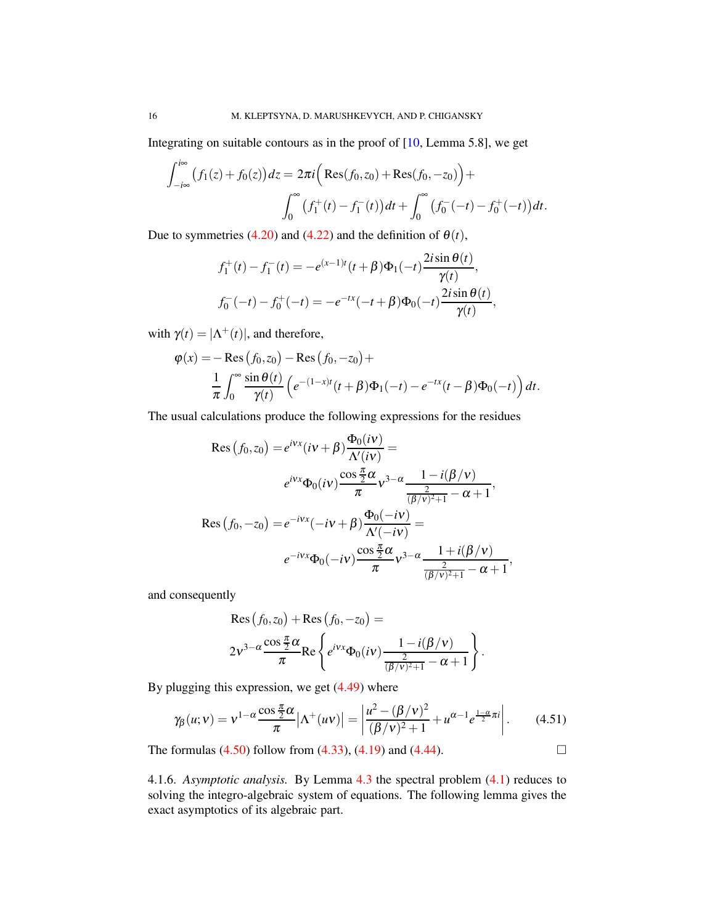Integrating on suitable contours as in the proof of [\[10,](#page-19-6) Lemma 5.8], we get

$$
\int_{-i\infty}^{i\infty} (f_1(z) + f_0(z)) dz = 2\pi i \Big( \text{Res}(f_0, z_0) + \text{Res}(f_0, -z_0) \Big) +
$$

$$
\int_0^{\infty} (f_1^+(t) - f_1^-(t)) dt + \int_0^{\infty} (f_0^-(-t) - f_0^+(-t)) dt.
$$

Due to symmetries [\(4.20\)](#page-8-5) and [\(4.22\)](#page-8-6) and the definition of  $\theta(t)$ ,

$$
f_1^+(t) - f_1^-(t) = -e^{(x-1)t}(t+\beta)\Phi_1(-t)\frac{2i\sin\theta(t)}{\gamma(t)},
$$
  

$$
f_0^-(-t) - f_0^+(-t) = -e^{-tx}(-t+\beta)\Phi_0(-t)\frac{2i\sin\theta(t)}{\gamma(t)},
$$

with  $\gamma(t) = |\Lambda^+(t)|$ , and therefore,

$$
\varphi(x) = -\operatorname{Res}_{\pi} (f_0, z_0) - \operatorname{Res}_{\pi} (f_0, -z_0) +
$$
  

$$
\frac{1}{\pi} \int_0^{\infty} \frac{\sin \theta(t)}{\gamma(t)} \left( e^{-(1-x)t} (t+\beta) \Phi_1(-t) - e^{-tx} (t-\beta) \Phi_0(-t) \right) dt.
$$

The usual calculations produce the following expressions for the residues

$$
\operatorname{Res}\left(f_{0}, z_{0}\right) = e^{i\mathbf{v}x}(i\mathbf{v} + \beta) \frac{\Phi_{0}(i\mathbf{v})}{\Lambda'(i\mathbf{v})} =
$$
\n
$$
e^{i\mathbf{v}x}\Phi_{0}(i\mathbf{v}) \frac{\cos\frac{\pi}{2}\alpha}{\pi} \mathbf{v}^{3-\alpha} \frac{1 - i(\beta/\mathbf{v})}{\frac{2}{(\beta/\mathbf{v})^{2}+1} - \alpha + 1},
$$
\n
$$
\operatorname{Res}\left(f_{0}, -z_{0}\right) = e^{-i\mathbf{v}x}(-i\mathbf{v} + \beta) \frac{\Phi_{0}(-i\mathbf{v})}{\Lambda'(-i\mathbf{v})} =
$$
\n
$$
e^{-i\mathbf{v}x}\Phi_{0}(-i\mathbf{v}) \frac{\cos\frac{\pi}{2}\alpha}{\pi} \mathbf{v}^{3-\alpha} \frac{1 + i(\beta/\mathbf{v})}{\frac{2}{(\beta/\mathbf{v})^{2}+1} - \alpha + 1},
$$

and consequently

$$
\operatorname{Res}(f_0, z_0) + \operatorname{Res}(f_0, -z_0) =
$$
  
 
$$
2v^{3-\alpha} \frac{\cos \frac{\pi}{2} \alpha}{\pi} \operatorname{Re} \left\{ e^{ivx} \Phi_0(iv) \frac{1 - i(\beta/v)}{\frac{2}{(\beta/v)^2 + 1} - \alpha + 1} \right\}.
$$

By plugging this expression, we get [\(4.49\)](#page-14-0) where

<span id="page-15-0"></span>
$$
\gamma_{\beta}(u;v) = v^{1-\alpha} \frac{\cos \frac{\pi}{2} \alpha}{\pi} |\Lambda^{+}(uv)| = \left| \frac{u^2 - (\beta/v)^2}{(\beta/v)^2 + 1} + u^{\alpha-1} e^{\frac{1-\alpha}{2} \pi i} \right|.
$$
 (4.51)

The formulas  $(4.50)$  follow from  $(4.33)$ ,  $(4.19)$  and  $(4.44)$ .

4.1.6. *Asymptotic analysis.* By Lemma [4.3](#page-12-4) the spectral problem [\(4.1\)](#page-5-0) reduces to solving the integro-algebraic system of equations. The following lemma gives the exact asymptotics of its algebraic part.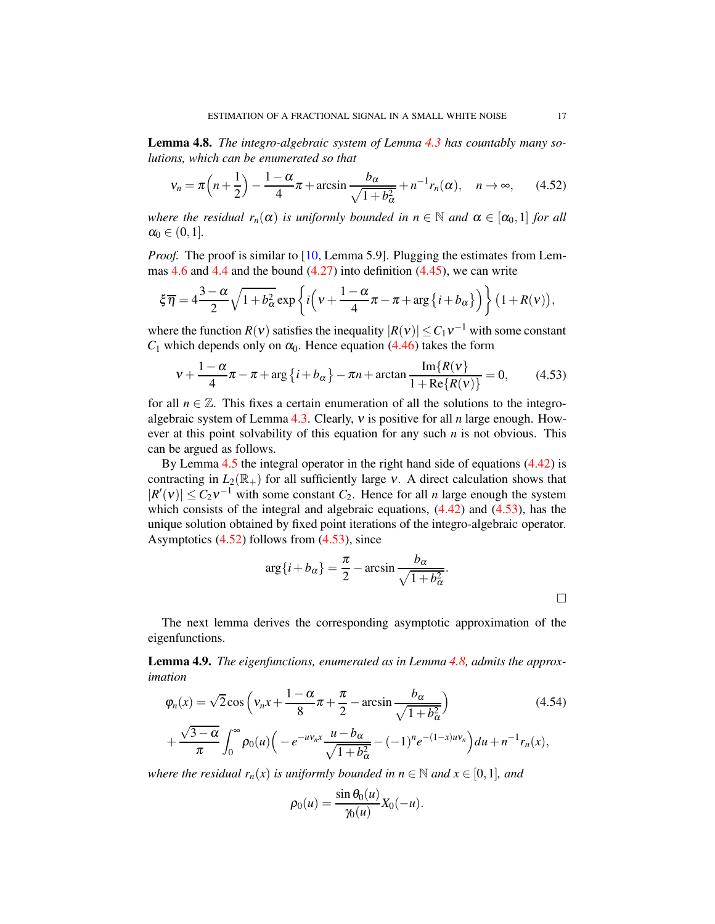<span id="page-16-3"></span>Lemma 4.8. *The integro-algebraic system of Lemma [4.3](#page-12-4) has countably many solutions, which can be enumerated so that*

<span id="page-16-2"></span>
$$
v_n = \pi \left( n + \frac{1}{2} \right) - \frac{1 - \alpha}{4} \pi + \arcsin \frac{b_\alpha}{\sqrt{1 + b_\alpha^2}} + n^{-1} r_n(\alpha), \quad n \to \infty,
$$
 (4.52)

*where the residual*  $r_n(\alpha)$  *is uniformly bounded in*  $n \in \mathbb{N}$  *and*  $\alpha \in [\alpha_0, 1]$  *for all*  $\alpha_0 \in (0,1]$ .

*Proof.* The proof is similar to [\[10,](#page-19-6) Lemma 5.9]. Plugging the estimates from Lem-mas [4.6](#page-14-2) and [4.4](#page-13-1) and the bound  $(4.27)$  into definition  $(4.45)$ , we can write

$$
\xi \overline{\eta} = 4 \frac{3-\alpha}{2} \sqrt{1+b_{\alpha}^2} \exp \left\{ i \left( \nu + \frac{1-\alpha}{4} \pi - \pi + \arg \{ i + b_{\alpha} \} \right) \right\} (1+R(\nu)),
$$

where the function *R*(*v*) satisfies the inequality  $|R(v)| \leq C_1 v^{-1}$  with some constant  $C_1$  which depends only on  $\alpha_0$ . Hence equation [\(4.46\)](#page-12-2) takes the form

<span id="page-16-1"></span>
$$
v + \frac{1 - \alpha}{4}\pi - \pi + \arg\{i + b_{\alpha}\} - \pi n + \arctan\frac{\operatorname{Im}\{R(v\}}{1 + \operatorname{Re}\{R(v)\}} = 0,\tag{4.53}
$$

for all  $n \in \mathbb{Z}$ . This fixes a certain enumeration of all the solutions to the integroalgebraic system of Lemma [4.3.](#page-12-4) Clearly, <sup>ν</sup> is positive for all *n* large enough. However at this point solvability of this equation for any such *n* is not obvious. This can be argued as follows.

By Lemma [4.5](#page-13-2) the integral operator in the right hand side of equations [\(4.42\)](#page-11-1) is contracting in  $L_2(\mathbb{R}_+)$  for all sufficiently large  $v$ . A direct calculation shows that  $|R'(v)| \leq C_2 v^{-1}$  with some constant  $C_2$ . Hence for all *n* large enough the system which consists of the integral and algebraic equations,  $(4.42)$  and  $(4.53)$ , has the unique solution obtained by fixed point iterations of the integro-algebraic operator. Asymptotics [\(4.52\)](#page-16-2) follows from [\(4.53\)](#page-16-1), since

$$
\arg\{i + b_{\alpha}\} = \frac{\pi}{2} - \arcsin \frac{b_{\alpha}}{\sqrt{1 + b_{\alpha}^2}}.
$$

The next lemma derives the corresponding asymptotic approximation of the eigenfunctions.

<span id="page-16-0"></span>Lemma 4.9. *The eigenfunctions, enumerated as in Lemma [4.8,](#page-16-3) admits the approximation*

$$
\varphi_n(x) = \sqrt{2}\cos\left(v_n x + \frac{1-\alpha}{8}\pi + \frac{\pi}{2} - \arcsin\frac{b_\alpha}{\sqrt{1+b_\alpha^2}}\right) \tag{4.54}
$$
\n
$$
+ \frac{\sqrt{3-\alpha}}{\pi} \int_0^\infty \rho_0(u) \left(-e^{-uv_n x} \frac{u - b_\alpha}{\sqrt{1+b_\alpha^2}} - (-1)^n e^{-(1-x)uv_n}\right) du + n^{-1} r_n(x),
$$

*where the residual*  $r_n(x)$  *is uniformly bounded in*  $n \in \mathbb{N}$  *and*  $x \in [0,1]$ *, and* 

<span id="page-16-4"></span>
$$
\rho_0(u) = \frac{\sin \theta_0(u)}{\gamma_0(u)} X_0(-u).
$$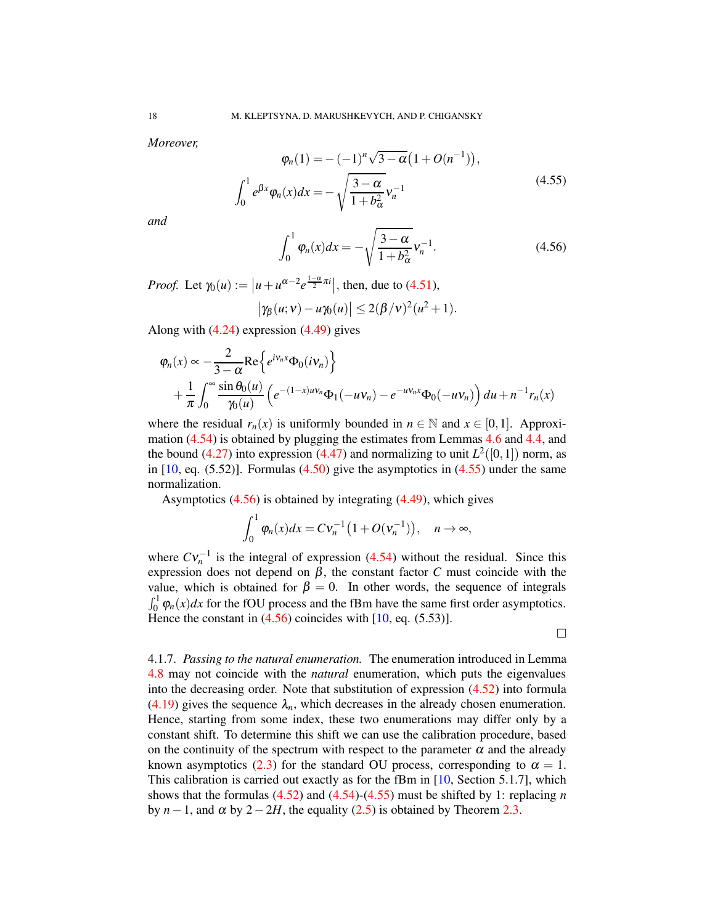*Moreover,*

<span id="page-17-0"></span>
$$
\varphi_n(1) = -(-1)^n \sqrt{3 - \alpha} \left( 1 + O(n^{-1}) \right),
$$
  

$$
\int_0^1 e^{\beta x} \varphi_n(x) dx = -\sqrt{\frac{3 - \alpha}{1 + b_\alpha^2}} v_n^{-1}
$$
 (4.55)

*and*

<span id="page-17-1"></span>
$$
\int_0^1 \varphi_n(x) dx = -\sqrt{\frac{3-\alpha}{1+b_\alpha^2}} v_n^{-1}.
$$
\n(4.56)

*Proof.* Let  $\gamma_0(u) := |u + u^{\alpha - 2} e^{\frac{1 - \alpha}{2} \pi i}|$ , then, due to [\(4.51\)](#page-15-0),

$$
|\gamma_{\beta}(u;v)-u\gamma_0(u)|\leq 2(\beta/v)^2(u^2+1).
$$

Along with [\(4.24\)](#page-8-4) expression [\(4.49\)](#page-14-0) gives

$$
\varphi_n(x) \propto -\frac{2}{3-\alpha} \text{Re}\Big\{ e^{iV_n x} \Phi_0(iV_n) \Big\} + \frac{1}{\pi} \int_0^\infty \frac{\sin \theta_0(u)}{\gamma_0(u)} \left( e^{-(1-x)uV_n} \Phi_1(-uV_n) - e^{-uV_n x} \Phi_0(-uV_n) \right) du + n^{-1} r_n(x)
$$

where the residual  $r_n(x)$  is uniformly bounded in  $n \in \mathbb{N}$  and  $x \in [0,1]$ . Approximation [\(4.54\)](#page-16-4) is obtained by plugging the estimates from Lemmas [4.6](#page-14-2) and [4.4,](#page-13-1) and the bound  $(4.27)$  into expression  $(4.47)$  and normalizing to unit  $L^2([0,1])$  norm, as in  $[10, \text{eq. } (5.52)]$  $[10, \text{eq. } (5.52)]$ . Formulas  $(4.50)$  give the asymptotics in  $(4.55)$  under the same normalization.

Asymptotics  $(4.56)$  is obtained by integrating  $(4.49)$ , which gives

$$
\int_0^1 \varphi_n(x) dx = C \nu_n^{-1} \big( 1 + O(\nu_n^{-1}) \big), \quad n \to \infty,
$$

where  $CV_n^{-1}$  is the integral of expression [\(4.54\)](#page-16-4) without the residual. Since this expression does not depend on  $β$ , the constant factor  $C$  must coincide with the value, which is obtained for  $\beta = 0$ . In other words, the sequence of integrals  $\int_0^1 \varphi_n(x) dx$  for the fOU process and the fBm have the same first order asymptotics. Hence the constant in  $(4.56)$  coincides with [\[10,](#page-19-6) eq. (5.53)].

 $\Box$ 

4.1.7. *Passing to the natural enumeration.* The enumeration introduced in Lemma [4.8](#page-16-3) may not coincide with the *natural* enumeration, which puts the eigenvalues into the decreasing order. Note that substitution of expression [\(4.52\)](#page-16-2) into formula [\(4.19\)](#page-7-5) gives the sequence  $\lambda_n$ , which decreases in the already chosen enumeration. Hence, starting from some index, these two enumerations may differ only by a constant shift. To determine this shift we can use the calibration procedure, based on the continuity of the spectrum with respect to the parameter  $\alpha$  and the already known asymptotics [\(2.3\)](#page-2-3) for the standard OU process, corresponding to  $\alpha = 1$ . This calibration is carried out exactly as for the fBm in [\[10,](#page-19-6) Section 5.1.7], which shows that the formulas [\(4.52\)](#page-16-2) and [\(4.54\)](#page-16-4)-[\(4.55\)](#page-17-0) must be shifted by 1: replacing *n* by *n*−1, and  $\alpha$  by 2−2*H*, the equality [\(2.5\)](#page-3-1) is obtained by Theorem [2.3.](#page-3-0)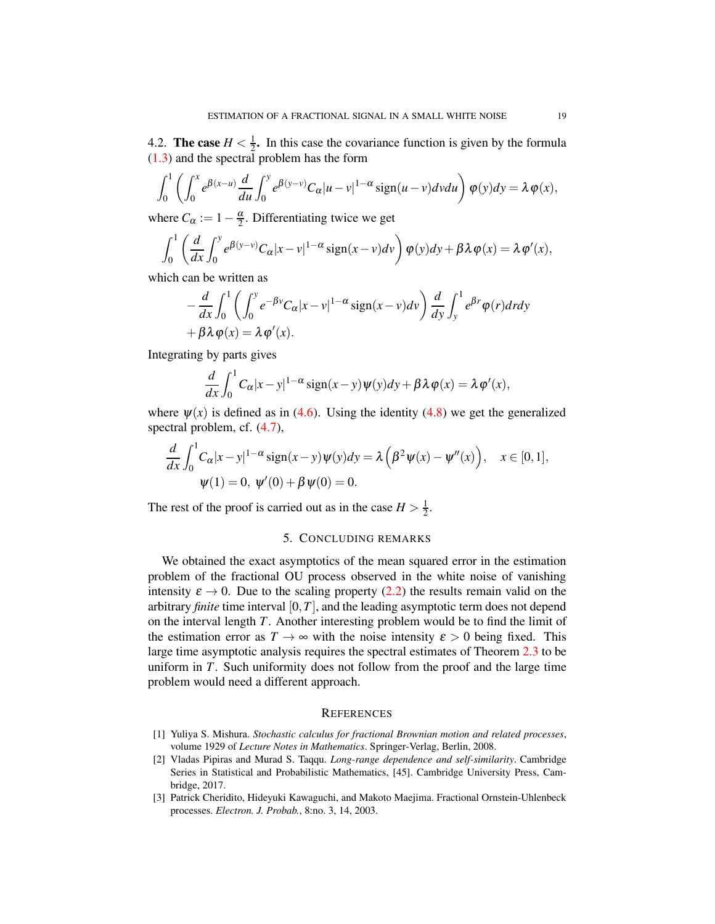4.2. **The case**  $H < \frac{1}{2}$  $\frac{1}{2}$ . In this case the covariance function is given by the formula [\(1.3\)](#page-1-1) and the spectral problem has the form

$$
\int_0^1 \left( \int_0^x e^{\beta(x-u)} \frac{d}{du} \int_0^y e^{\beta(y-v)} C_\alpha |u-v|^{1-\alpha} \text{sign}(u-v) dv du \right) \varphi(y) dy = \lambda \varphi(x),
$$

where  $C_{\alpha} := 1 - \frac{\alpha}{2}$ . Differentiating twice we get

$$
\int_0^1 \left( \frac{d}{dx} \int_0^y e^{\beta(y-v)} C_\alpha |x-v|^{1-\alpha} \operatorname{sign}(x-v) dv \right) \varphi(y) dy + \beta \lambda \varphi(x) = \lambda \varphi'(x),
$$

which can be written as

$$
-\frac{d}{dx}\int_0^1 \left(\int_0^y e^{-\beta v}C_\alpha |x-v|^{1-\alpha} \operatorname{sign}(x-v)dv\right) \frac{d}{dy}\int_y^1 e^{\beta r}\varphi(r)dxdy
$$
  
+  $\beta \lambda \varphi(x) = \lambda \varphi'(x).$ 

Integrating by parts gives

$$
\frac{d}{dx}\int_0^1C_\alpha|x-y|^{1-\alpha}\operatorname{sign}(x-y)\psi(y)dy+\beta\lambda\,\varphi(x)=\lambda\,\varphi'(x),
$$

where  $\psi(x)$  is defined as in [\(4.6\)](#page-6-1). Using the identity [\(4.8\)](#page-6-8) we get the generalized spectral problem, cf. [\(4.7\)](#page-6-2),

$$
\frac{d}{dx} \int_0^1 C_\alpha |x - y|^{1 - \alpha} \operatorname{sign}(x - y) \psi(y) dy = \lambda \left( \beta^2 \psi(x) - \psi''(x) \right), \quad x \in [0, 1],
$$
  

$$
\psi(1) = 0, \ \psi'(0) + \beta \psi(0) = 0.
$$

The rest of the proof is carried out as in the case  $H > \frac{1}{2}$  $rac{1}{2}$ .

### 5. CONCLUDING REMARKS

We obtained the exact asymptotics of the mean squared error in the estimation problem of the fractional OU process observed in the white noise of vanishing intensity  $\varepsilon \to 0$ . Due to the scaling property [\(2.2\)](#page-2-2) the results remain valid on the arbitrary *finite* time interval  $[0, T]$ , and the leading asymptotic term does not depend on the interval length *T*. Another interesting problem would be to find the limit of the estimation error as  $T \to \infty$  with the noise intensity  $\varepsilon > 0$  being fixed. This large time asymptotic analysis requires the spectral estimates of Theorem [2.3](#page-3-0) to be uniform in *T*. Such uniformity does not follow from the proof and the large time problem would need a different approach.

#### **REFERENCES**

- <span id="page-18-0"></span>[1] Yuliya S. Mishura. *Stochastic calculus for fractional Brownian motion and related processes*, volume 1929 of *Lecture Notes in Mathematics*. Springer-Verlag, Berlin, 2008.
- <span id="page-18-1"></span>[2] Vladas Pipiras and Murad S. Taqqu. *Long-range dependence and self-similarity*. Cambridge Series in Statistical and Probabilistic Mathematics, [45]. Cambridge University Press, Cambridge, 2017.
- <span id="page-18-2"></span>[3] Patrick Cheridito, Hideyuki Kawaguchi, and Makoto Maejima. Fractional Ornstein-Uhlenbeck processes. *Electron. J. Probab.*, 8:no. 3, 14, 2003.